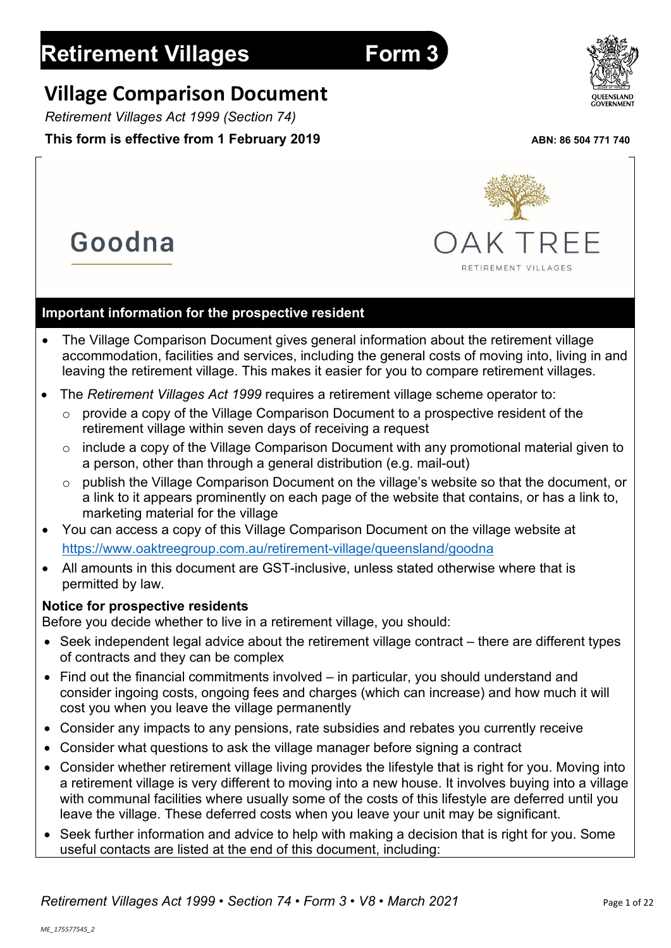Goodna

# **Village Comparison Document**

*Retirement Villages Act 1999 (Section 74)*

# **This form is effective from 1 February 2019** ABN: 86 504 771 740

AK TREE

RETIREMENT VILLAGES

# **Important information for the prospective resident**

- The Village Comparison Document gives general information about the retirement village accommodation, facilities and services, including the general costs of moving into, living in and leaving the retirement village. This makes it easier for you to compare retirement villages.
- The *Retirement Villages Act 1999* requires a retirement village scheme operator to:
	- $\circ$  provide a copy of the Village Comparison Document to a prospective resident of the retirement village within seven days of receiving a request
	- $\circ$  include a copy of the Village Comparison Document with any promotional material given to a person, other than through a general distribution (e.g. mail-out)
	- o publish the Village Comparison Document on the village's website so that the document, or a link to it appears prominently on each page of the website that contains, or has a link to, marketing material for the village
- You can access a copy of this Village Comparison Document on the village website at <https://www.oaktreegroup.com.au/retirement-village/queensland/goodna>
- All amounts in this document are GST-inclusive, unless stated otherwise where that is permitted by law.

# **Notice for prospective residents**

Before you decide whether to live in a retirement village, you should:

- Seek independent legal advice about the retirement village contract there are different types of contracts and they can be complex
- Find out the financial commitments involved in particular, you should understand and consider ingoing costs, ongoing fees and charges (which can increase) and how much it will cost you when you leave the village permanently
- Consider any impacts to any pensions, rate subsidies and rebates you currently receive
- Consider what questions to ask the village manager before signing a contract
- Consider whether retirement village living provides the lifestyle that is right for you. Moving into a retirement village is very different to moving into a new house. It involves buying into a village with communal facilities where usually some of the costs of this lifestyle are deferred until you leave the village. These deferred costs when you leave your unit may be significant.
- Seek further information and advice to help with making a decision that is right for you. Some useful contacts are listed at the end of this document, including:

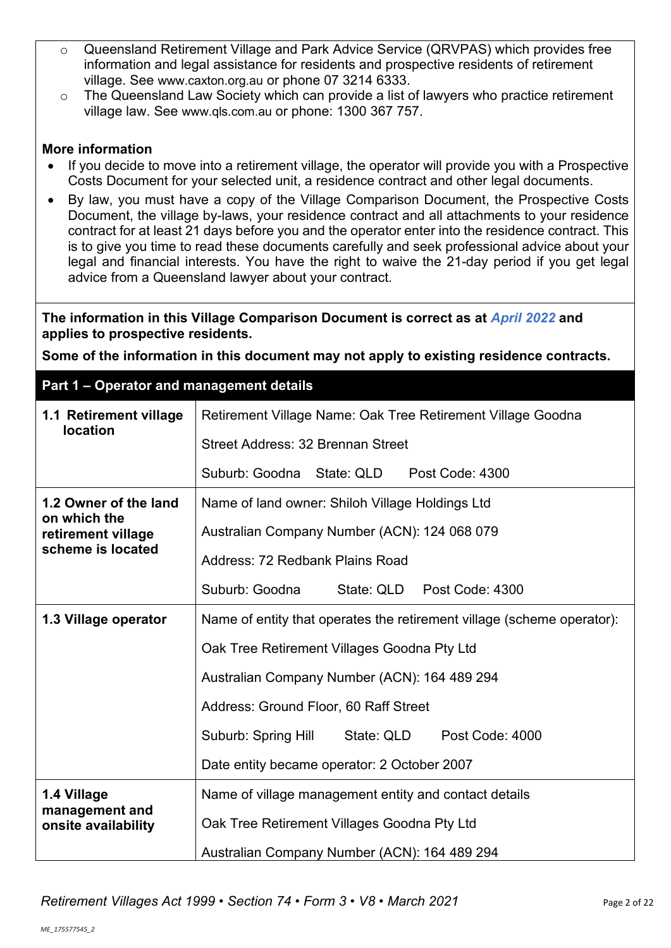- o Queensland Retirement Village and Park Advice Service (QRVPAS) which provides free information and legal assistance for residents and prospective residents of retirement village. See [www.caxton.org.au](http://www.caxton.org.au/) or phone 07 3214 6333.
- o The Queensland Law Society which can provide a list of lawyers who practice retirement village law. See [www.qls.com.au](http://www.qls.com.au/) or phone: 1300 367 757.

# **More information**

- If you decide to move into a retirement village, the operator will provide you with a Prospective Costs Document for your selected unit, a residence contract and other legal documents.
- By law, you must have a copy of the Village Comparison Document, the Prospective Costs Document, the village by-laws, your residence contract and all attachments to your residence contract for at least 21 days before you and the operator enter into the residence contract. This is to give you time to read these documents carefully and seek professional advice about your legal and financial interests. You have the right to waive the 21-day period if you get legal advice from a Queensland lawyer about your contract.

**The information in this Village Comparison Document is correct as at** *April 2022* **and applies to prospective residents.**

**Some of the information in this document may not apply to existing residence contracts.**

# **Part 1 – Operator and management details**

| 1.1 Retirement village                | Retirement Village Name: Oak Tree Retirement Village Goodna            |  |  |  |
|---------------------------------------|------------------------------------------------------------------------|--|--|--|
| <b>location</b>                       | Street Address: 32 Brennan Street                                      |  |  |  |
|                                       | Suburb: Goodna State: QLD<br>Post Code: 4300                           |  |  |  |
| 1.2 Owner of the land<br>on which the | Name of land owner: Shiloh Village Holdings Ltd                        |  |  |  |
| retirement village                    | Australian Company Number (ACN): 124 068 079                           |  |  |  |
| scheme is located                     | Address: 72 Redbank Plains Road                                        |  |  |  |
|                                       | Suburb: Goodna<br>State: QLD<br>Post Code: 4300                        |  |  |  |
| 1.3 Village operator                  | Name of entity that operates the retirement village (scheme operator): |  |  |  |
|                                       | Oak Tree Retirement Villages Goodna Pty Ltd                            |  |  |  |
|                                       | Australian Company Number (ACN): 164 489 294                           |  |  |  |
|                                       | Address: Ground Floor, 60 Raff Street                                  |  |  |  |
|                                       | State: QLD<br>Suburb: Spring Hill<br>Post Code: 4000                   |  |  |  |
|                                       | Date entity became operator: 2 October 2007                            |  |  |  |
| 1.4 Village                           | Name of village management entity and contact details                  |  |  |  |
| management and<br>onsite availability | Oak Tree Retirement Villages Goodna Pty Ltd                            |  |  |  |
|                                       | Australian Company Number (ACN): 164 489 294                           |  |  |  |

*Retirement Villages Act 1999* • *Section 74* • *Form 3* • *V8 • March 2021* Page 2 of 22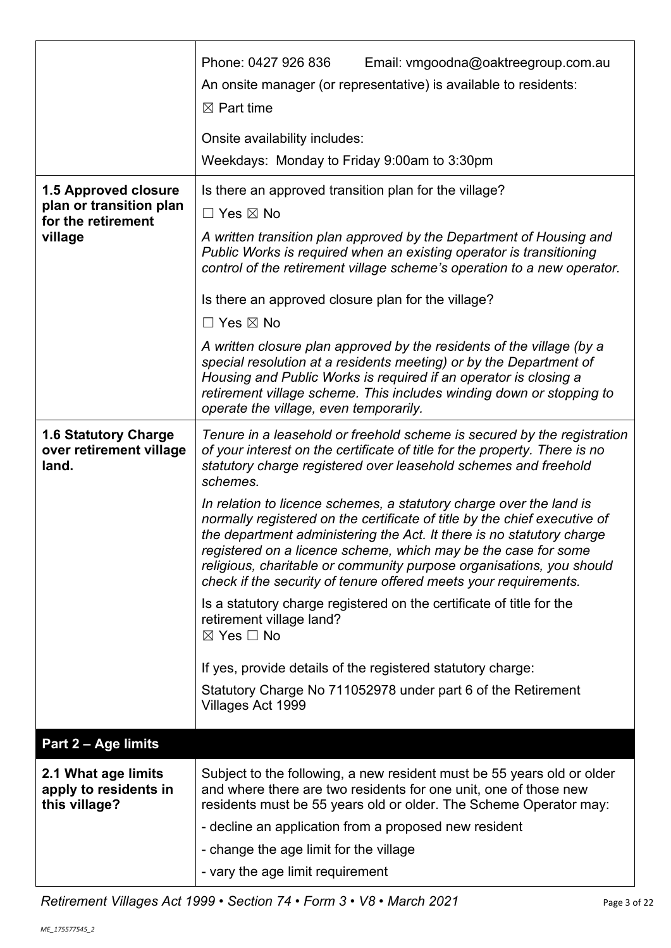| Weekdays: Monday to Friday 9:00am to 3:30pm                                                                                                                                                                                                                                                                                                                                                                                                                                                                                                                                                                                                                                                                                                                                                                                                                                                                                                                          |
|----------------------------------------------------------------------------------------------------------------------------------------------------------------------------------------------------------------------------------------------------------------------------------------------------------------------------------------------------------------------------------------------------------------------------------------------------------------------------------------------------------------------------------------------------------------------------------------------------------------------------------------------------------------------------------------------------------------------------------------------------------------------------------------------------------------------------------------------------------------------------------------------------------------------------------------------------------------------|
| Is there an approved transition plan for the village?<br>$\Box$ Yes $\boxtimes$ No<br>A written transition plan approved by the Department of Housing and<br>Public Works is required when an existing operator is transitioning<br>control of the retirement village scheme's operation to a new operator.<br>Is there an approved closure plan for the village?<br>$\Box$ Yes $\boxtimes$ No<br>A written closure plan approved by the residents of the village (by a<br>special resolution at a residents meeting) or by the Department of<br>Housing and Public Works is required if an operator is closing a<br>retirement village scheme. This includes winding down or stopping to<br>operate the village, even temporarily.                                                                                                                                                                                                                                  |
| Tenure in a leasehold or freehold scheme is secured by the registration<br>of your interest on the certificate of title for the property. There is no<br>statutory charge registered over leasehold schemes and freehold<br>schemes.<br>In relation to licence schemes, a statutory charge over the land is<br>normally registered on the certificate of title by the chief executive of<br>the department administering the Act. It there is no statutory charge<br>registered on a licence scheme, which may be the case for some<br>religious, charitable or community purpose organisations, you should<br>check if the security of tenure offered meets your requirements.<br>Is a statutory charge registered on the certificate of title for the<br>retirement village land?<br>$\boxtimes$ Yes $\Box$ No<br>If yes, provide details of the registered statutory charge:<br>Statutory Charge No 711052978 under part 6 of the Retirement<br>Villages Act 1999 |
|                                                                                                                                                                                                                                                                                                                                                                                                                                                                                                                                                                                                                                                                                                                                                                                                                                                                                                                                                                      |
| Subject to the following, a new resident must be 55 years old or older<br>and where there are two residents for one unit, one of those new<br>residents must be 55 years old or older. The Scheme Operator may:<br>- decline an application from a proposed new resident<br>- change the age limit for the village<br>- vary the age limit requirement                                                                                                                                                                                                                                                                                                                                                                                                                                                                                                                                                                                                               |
|                                                                                                                                                                                                                                                                                                                                                                                                                                                                                                                                                                                                                                                                                                                                                                                                                                                                                                                                                                      |

*Retirement Villages Act 1999 • Section 74 • Form 3 • V8 • March 2021* Page 3 of 22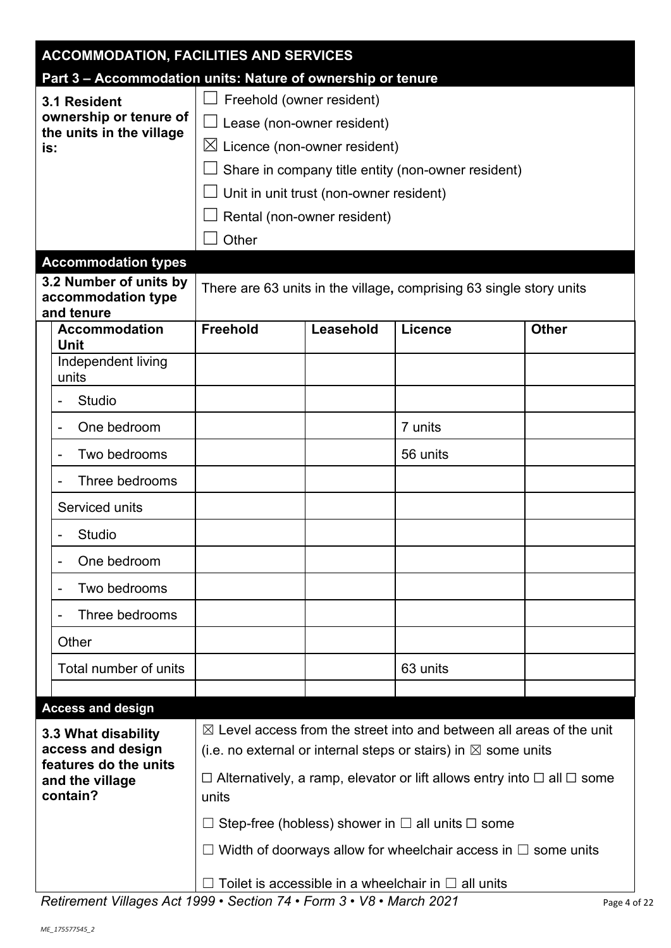| <b>ACCOMMODATION, FACILITIES AND SERVICES</b>        |                                                             |                                                                                                                                                             |                                         |                                                                     |              |  |  |
|------------------------------------------------------|-------------------------------------------------------------|-------------------------------------------------------------------------------------------------------------------------------------------------------------|-----------------------------------------|---------------------------------------------------------------------|--------------|--|--|
|                                                      | Part 3 - Accommodation units: Nature of ownership or tenure |                                                                                                                                                             |                                         |                                                                     |              |  |  |
|                                                      | 3.1 Resident                                                | Freehold (owner resident)                                                                                                                                   |                                         |                                                                     |              |  |  |
|                                                      | ownership or tenure of<br>the units in the village          | Lease (non-owner resident)                                                                                                                                  |                                         |                                                                     |              |  |  |
| is:                                                  |                                                             | $\boxtimes$ Licence (non-owner resident)                                                                                                                    |                                         |                                                                     |              |  |  |
|                                                      |                                                             |                                                                                                                                                             |                                         | Share in company title entity (non-owner resident)                  |              |  |  |
|                                                      |                                                             |                                                                                                                                                             | Unit in unit trust (non-owner resident) |                                                                     |              |  |  |
|                                                      |                                                             |                                                                                                                                                             | Rental (non-owner resident)             |                                                                     |              |  |  |
|                                                      |                                                             | Other                                                                                                                                                       |                                         |                                                                     |              |  |  |
|                                                      | <b>Accommodation types</b>                                  |                                                                                                                                                             |                                         |                                                                     |              |  |  |
|                                                      | 3.2 Number of units by<br>accommodation type<br>and tenure  |                                                                                                                                                             |                                         | There are 63 units in the village, comprising 63 single story units |              |  |  |
|                                                      | <b>Accommodation</b><br><b>Unit</b>                         | <b>Freehold</b>                                                                                                                                             | Leasehold                               | <b>Licence</b>                                                      | <b>Other</b> |  |  |
|                                                      | Independent living<br>units                                 |                                                                                                                                                             |                                         |                                                                     |              |  |  |
|                                                      | <b>Studio</b>                                               |                                                                                                                                                             |                                         |                                                                     |              |  |  |
|                                                      | One bedroom                                                 |                                                                                                                                                             |                                         | 7 units                                                             |              |  |  |
|                                                      | Two bedrooms                                                |                                                                                                                                                             |                                         | 56 units                                                            |              |  |  |
|                                                      | Three bedrooms                                              |                                                                                                                                                             |                                         |                                                                     |              |  |  |
|                                                      | Serviced units                                              |                                                                                                                                                             |                                         |                                                                     |              |  |  |
|                                                      | <b>Studio</b>                                               |                                                                                                                                                             |                                         |                                                                     |              |  |  |
|                                                      | One bedroom                                                 |                                                                                                                                                             |                                         |                                                                     |              |  |  |
| $\overline{\phantom{a}}$                             | Two bedrooms                                                |                                                                                                                                                             |                                         |                                                                     |              |  |  |
|                                                      | Three bedrooms                                              |                                                                                                                                                             |                                         |                                                                     |              |  |  |
|                                                      | Other                                                       |                                                                                                                                                             |                                         |                                                                     |              |  |  |
|                                                      | Total number of units                                       |                                                                                                                                                             |                                         | 63 units                                                            |              |  |  |
|                                                      | <b>Access and design</b>                                    |                                                                                                                                                             |                                         |                                                                     |              |  |  |
|                                                      |                                                             |                                                                                                                                                             |                                         |                                                                     |              |  |  |
|                                                      | 3.3 What disability<br>access and design                    | $\boxtimes$ Level access from the street into and between all areas of the unit<br>(i.e. no external or internal steps or stairs) in $\boxtimes$ some units |                                         |                                                                     |              |  |  |
| features do the units<br>and the village<br>contain? |                                                             | $\Box$ Alternatively, a ramp, elevator or lift allows entry into $\Box$ all $\Box$ some<br>units                                                            |                                         |                                                                     |              |  |  |
|                                                      |                                                             |                                                                                                                                                             |                                         | Step-free (hobless) shower in $\Box$ all units $\Box$ some          |              |  |  |
|                                                      |                                                             |                                                                                                                                                             |                                         | Width of doorways allow for wheelchair access in $\Box$ some units  |              |  |  |
|                                                      |                                                             | $\Box$ Toilet is accessible in a wheelchair in $\Box$ all units                                                                                             |                                         |                                                                     |              |  |  |

*Retirement Villages Act 1999 • Section 74 • Form 3 • V8 • March 2021* Page 4 of 22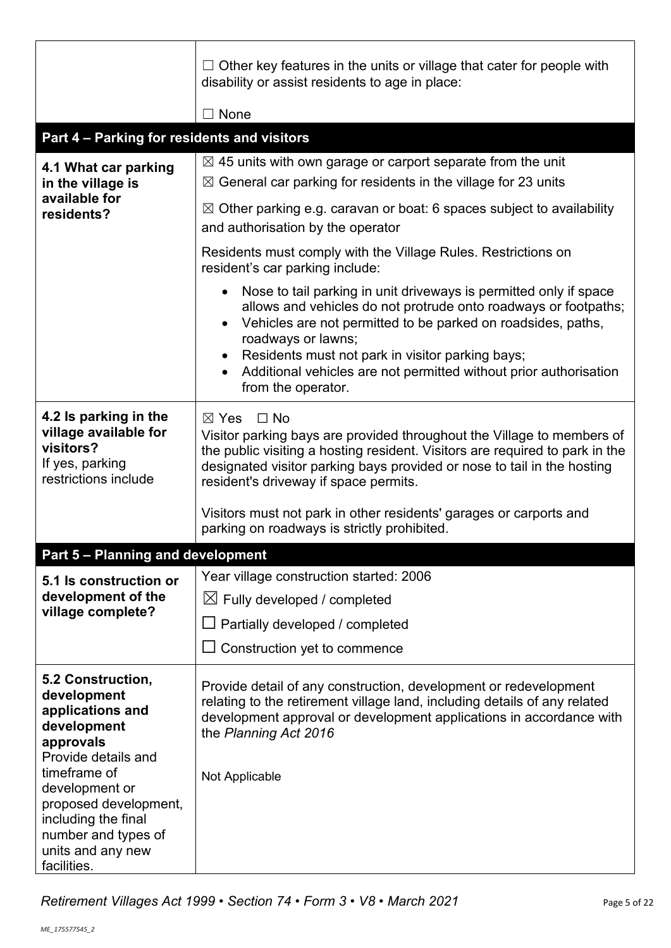|                                                                                                                                                                                           | $\Box$ Other key features in the units or village that cater for people with<br>disability or assist residents to age in place:                                                                                                                                                                                                                                                                                  |  |  |  |  |
|-------------------------------------------------------------------------------------------------------------------------------------------------------------------------------------------|------------------------------------------------------------------------------------------------------------------------------------------------------------------------------------------------------------------------------------------------------------------------------------------------------------------------------------------------------------------------------------------------------------------|--|--|--|--|
|                                                                                                                                                                                           | $\Box$ None                                                                                                                                                                                                                                                                                                                                                                                                      |  |  |  |  |
| Part 4 - Parking for residents and visitors                                                                                                                                               |                                                                                                                                                                                                                                                                                                                                                                                                                  |  |  |  |  |
| 4.1 What car parking<br>in the village is                                                                                                                                                 | $\boxtimes$ 45 units with own garage or carport separate from the unit<br>$\boxtimes$ General car parking for residents in the village for 23 units                                                                                                                                                                                                                                                              |  |  |  |  |
| available for<br>residents?                                                                                                                                                               | $\boxtimes$ Other parking e.g. caravan or boat: 6 spaces subject to availability<br>and authorisation by the operator                                                                                                                                                                                                                                                                                            |  |  |  |  |
|                                                                                                                                                                                           | Residents must comply with the Village Rules. Restrictions on<br>resident's car parking include:                                                                                                                                                                                                                                                                                                                 |  |  |  |  |
|                                                                                                                                                                                           | Nose to tail parking in unit driveways is permitted only if space<br>$\bullet$<br>allows and vehicles do not protrude onto roadways or footpaths;<br>Vehicles are not permitted to be parked on roadsides, paths,<br>$\bullet$<br>roadways or lawns;<br>Residents must not park in visitor parking bays;<br>$\bullet$<br>Additional vehicles are not permitted without prior authorisation<br>from the operator. |  |  |  |  |
| 4.2 Is parking in the<br>village available for<br>visitors?<br>If yes, parking<br>restrictions include                                                                                    | $\boxtimes$ Yes<br>$\Box$ No<br>Visitor parking bays are provided throughout the Village to members of<br>the public visiting a hosting resident. Visitors are required to park in the<br>designated visitor parking bays provided or nose to tail in the hosting<br>resident's driveway if space permits.                                                                                                       |  |  |  |  |
|                                                                                                                                                                                           | Visitors must not park in other residents' garages or carports and<br>parking on roadways is strictly prohibited.                                                                                                                                                                                                                                                                                                |  |  |  |  |
| Part 5 - Planning and development                                                                                                                                                         |                                                                                                                                                                                                                                                                                                                                                                                                                  |  |  |  |  |
| 5.1 Is construction or                                                                                                                                                                    | Year village construction started: 2006                                                                                                                                                                                                                                                                                                                                                                          |  |  |  |  |
| development of the                                                                                                                                                                        | $\boxtimes$ Fully developed / completed                                                                                                                                                                                                                                                                                                                                                                          |  |  |  |  |
| village complete?                                                                                                                                                                         | Partially developed / completed                                                                                                                                                                                                                                                                                                                                                                                  |  |  |  |  |
|                                                                                                                                                                                           | Construction yet to commence                                                                                                                                                                                                                                                                                                                                                                                     |  |  |  |  |
| 5.2 Construction,<br>development<br>applications and<br>development<br>approvals<br>Provide details and<br>timeframe of<br>development or<br>proposed development,<br>including the final | Provide detail of any construction, development or redevelopment<br>relating to the retirement village land, including details of any related<br>development approval or development applications in accordance with<br>the Planning Act 2016<br>Not Applicable                                                                                                                                                  |  |  |  |  |
| number and types of<br>units and any new<br>facilities.                                                                                                                                   |                                                                                                                                                                                                                                                                                                                                                                                                                  |  |  |  |  |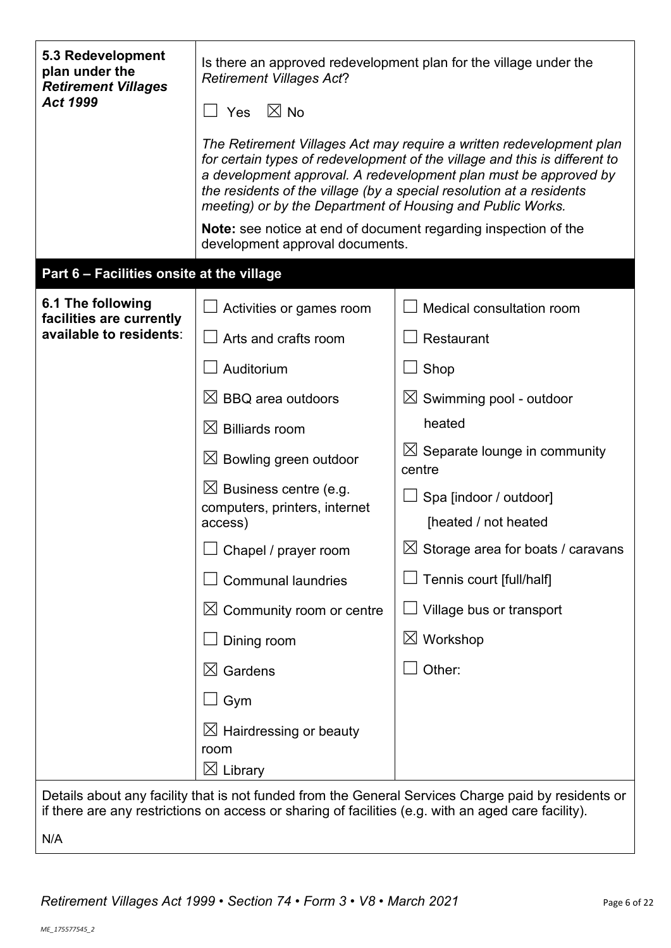| 5.3 Redevelopment<br>plan under the<br><b>Retirement Villages</b><br><b>Act 1999</b> | Is there an approved redevelopment plan for the village under the<br><b>Retirement Villages Act?</b><br>$\boxtimes$ No<br>Yes                                                                                                                                                                                                                                |                                                                                                     |  |  |  |  |
|--------------------------------------------------------------------------------------|--------------------------------------------------------------------------------------------------------------------------------------------------------------------------------------------------------------------------------------------------------------------------------------------------------------------------------------------------------------|-----------------------------------------------------------------------------------------------------|--|--|--|--|
|                                                                                      |                                                                                                                                                                                                                                                                                                                                                              |                                                                                                     |  |  |  |  |
|                                                                                      | The Retirement Villages Act may require a written redevelopment plan<br>for certain types of redevelopment of the village and this is different to<br>a development approval. A redevelopment plan must be approved by<br>the residents of the village (by a special resolution at a residents<br>meeting) or by the Department of Housing and Public Works. |                                                                                                     |  |  |  |  |
|                                                                                      | <b>Note:</b> see notice at end of document regarding inspection of the<br>development approval documents.                                                                                                                                                                                                                                                    |                                                                                                     |  |  |  |  |
| Part 6 - Facilities onsite at the village                                            |                                                                                                                                                                                                                                                                                                                                                              |                                                                                                     |  |  |  |  |
| 6.1 The following<br>facilities are currently                                        | Activities or games room                                                                                                                                                                                                                                                                                                                                     | Medical consultation room                                                                           |  |  |  |  |
| available to residents:                                                              | Arts and crafts room                                                                                                                                                                                                                                                                                                                                         | Restaurant                                                                                          |  |  |  |  |
|                                                                                      | Auditorium                                                                                                                                                                                                                                                                                                                                                   | $\Box$ Shop                                                                                         |  |  |  |  |
|                                                                                      | $\boxtimes$ BBQ area outdoors                                                                                                                                                                                                                                                                                                                                | $\boxtimes$ Swimming pool - outdoor                                                                 |  |  |  |  |
|                                                                                      | $\boxtimes$ Billiards room                                                                                                                                                                                                                                                                                                                                   | heated                                                                                              |  |  |  |  |
|                                                                                      | $\boxtimes$ Bowling green outdoor                                                                                                                                                                                                                                                                                                                            | $\boxtimes$ Separate lounge in community<br>centre                                                  |  |  |  |  |
|                                                                                      | $\boxtimes$ Business centre (e.g.<br>computers, printers, internet<br>access)                                                                                                                                                                                                                                                                                | Spa [indoor / outdoor]<br>[heated / not heated                                                      |  |  |  |  |
|                                                                                      | Chapel / prayer room                                                                                                                                                                                                                                                                                                                                         | $\boxtimes$ Storage area for boats / caravans                                                       |  |  |  |  |
|                                                                                      | <b>Communal laundries</b>                                                                                                                                                                                                                                                                                                                                    | Tennis court [full/half]                                                                            |  |  |  |  |
|                                                                                      | $\boxtimes$ Community room or centre                                                                                                                                                                                                                                                                                                                         | Village bus or transport                                                                            |  |  |  |  |
|                                                                                      | Dining room                                                                                                                                                                                                                                                                                                                                                  | $\boxtimes$ Workshop                                                                                |  |  |  |  |
|                                                                                      | $\boxtimes$ Gardens                                                                                                                                                                                                                                                                                                                                          | Other:                                                                                              |  |  |  |  |
|                                                                                      | Gym                                                                                                                                                                                                                                                                                                                                                          |                                                                                                     |  |  |  |  |
|                                                                                      | $\boxtimes$ Hairdressing or beauty<br>room                                                                                                                                                                                                                                                                                                                   |                                                                                                     |  |  |  |  |
|                                                                                      | $\boxtimes$ Library                                                                                                                                                                                                                                                                                                                                          |                                                                                                     |  |  |  |  |
|                                                                                      | if there are any restrictions on access or sharing of facilities (e.g. with an aged care facility).                                                                                                                                                                                                                                                          | Details about any facility that is not funded from the General Services Charge paid by residents or |  |  |  |  |

N/A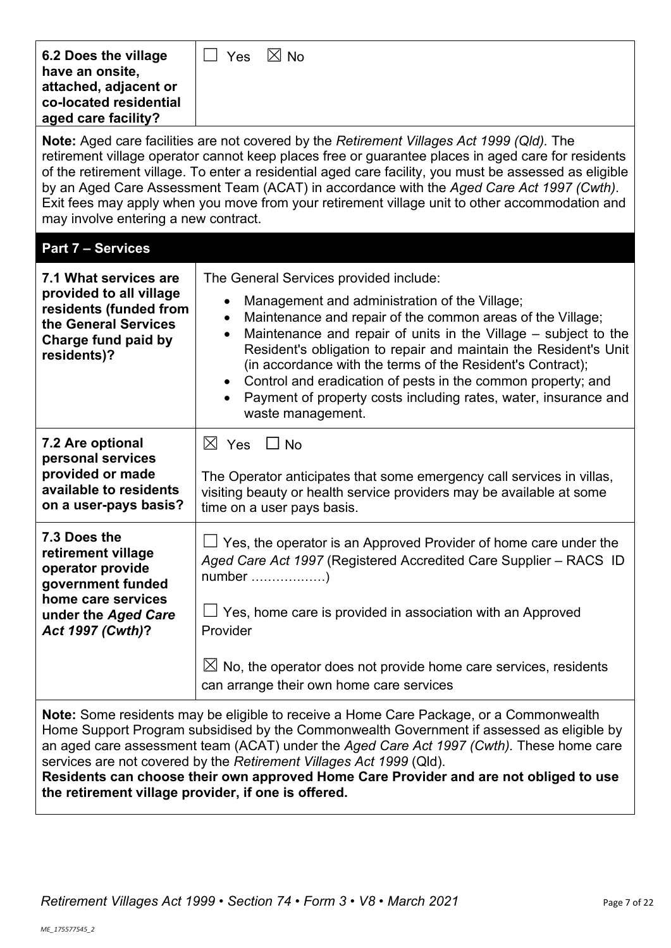| 6.2 Does the village<br>have an onsite,<br>attached, adjacent or<br>co-located residential<br>aged care facility?                                                                                                                                                                                                                                                                                                                                                                                                                                      | $\boxtimes$ No<br>$\Box$ Yes                                                                                                                                                                                                                                                                                                                                                                                                                                                                                                              |  |  |  |  |
|--------------------------------------------------------------------------------------------------------------------------------------------------------------------------------------------------------------------------------------------------------------------------------------------------------------------------------------------------------------------------------------------------------------------------------------------------------------------------------------------------------------------------------------------------------|-------------------------------------------------------------------------------------------------------------------------------------------------------------------------------------------------------------------------------------------------------------------------------------------------------------------------------------------------------------------------------------------------------------------------------------------------------------------------------------------------------------------------------------------|--|--|--|--|
| <b>Note:</b> Aged care facilities are not covered by the Retirement Villages Act 1999 (Qld). The<br>retirement village operator cannot keep places free or guarantee places in aged care for residents<br>of the retirement village. To enter a residential aged care facility, you must be assessed as eligible<br>by an Aged Care Assessment Team (ACAT) in accordance with the Aged Care Act 1997 (Cwth).<br>Exit fees may apply when you move from your retirement village unit to other accommodation and<br>may involve entering a new contract. |                                                                                                                                                                                                                                                                                                                                                                                                                                                                                                                                           |  |  |  |  |
| <b>Part 7 - Services</b>                                                                                                                                                                                                                                                                                                                                                                                                                                                                                                                               |                                                                                                                                                                                                                                                                                                                                                                                                                                                                                                                                           |  |  |  |  |
| 7.1 What services are                                                                                                                                                                                                                                                                                                                                                                                                                                                                                                                                  | The General Services provided include:                                                                                                                                                                                                                                                                                                                                                                                                                                                                                                    |  |  |  |  |
| provided to all village<br>residents (funded from<br>the General Services<br>Charge fund paid by<br>residents)?                                                                                                                                                                                                                                                                                                                                                                                                                                        | Management and administration of the Village;<br>$\bullet$<br>Maintenance and repair of the common areas of the Village;<br>$\bullet$<br>Maintenance and repair of units in the Village - subject to the<br>$\bullet$<br>Resident's obligation to repair and maintain the Resident's Unit<br>(in accordance with the terms of the Resident's Contract);<br>Control and eradication of pests in the common property; and<br>$\bullet$<br>Payment of property costs including rates, water, insurance and<br>$\bullet$<br>waste management. |  |  |  |  |
| 7.2 Are optional                                                                                                                                                                                                                                                                                                                                                                                                                                                                                                                                       | $\boxtimes$ Yes $\Box$ No                                                                                                                                                                                                                                                                                                                                                                                                                                                                                                                 |  |  |  |  |
| personal services<br>provided or made<br>available to residents<br>on a user-pays basis?                                                                                                                                                                                                                                                                                                                                                                                                                                                               | The Operator anticipates that some emergency call services in villas,<br>visiting beauty or health service providers may be available at some<br>time on a user pays basis.                                                                                                                                                                                                                                                                                                                                                               |  |  |  |  |
| 7.3 Does the<br>retirement village<br>operator provide<br>government funded<br>home care services                                                                                                                                                                                                                                                                                                                                                                                                                                                      | $\Box$ Yes, the operator is an Approved Provider of home care under the<br>Aged Care Act 1997 (Registered Accredited Care Supplier - RACS ID                                                                                                                                                                                                                                                                                                                                                                                              |  |  |  |  |
| under the Aged Care<br>Act 1997 (Cwth)?                                                                                                                                                                                                                                                                                                                                                                                                                                                                                                                | $\Box$ Yes, home care is provided in association with an Approved<br>Provider                                                                                                                                                                                                                                                                                                                                                                                                                                                             |  |  |  |  |
|                                                                                                                                                                                                                                                                                                                                                                                                                                                                                                                                                        | $\boxtimes$ No, the operator does not provide home care services, residents<br>can arrange their own home care services                                                                                                                                                                                                                                                                                                                                                                                                                   |  |  |  |  |
| <b>Note:</b> Some residents may be eligible to receive a Home Care Package, or a Commonwealth<br>Home Support Program subsidised by the Commonwealth Government if assessed as eligible by<br>an aged care assessment team (ACAT) under the Aged Care Act 1997 (Cwth). These home care<br>services are not covered by the Retirement Villages Act 1999 (Qld).<br>Residents can choose their own approved Home Care Provider and are not obliged to use<br>the retirement village provider, if one is offered.                                          |                                                                                                                                                                                                                                                                                                                                                                                                                                                                                                                                           |  |  |  |  |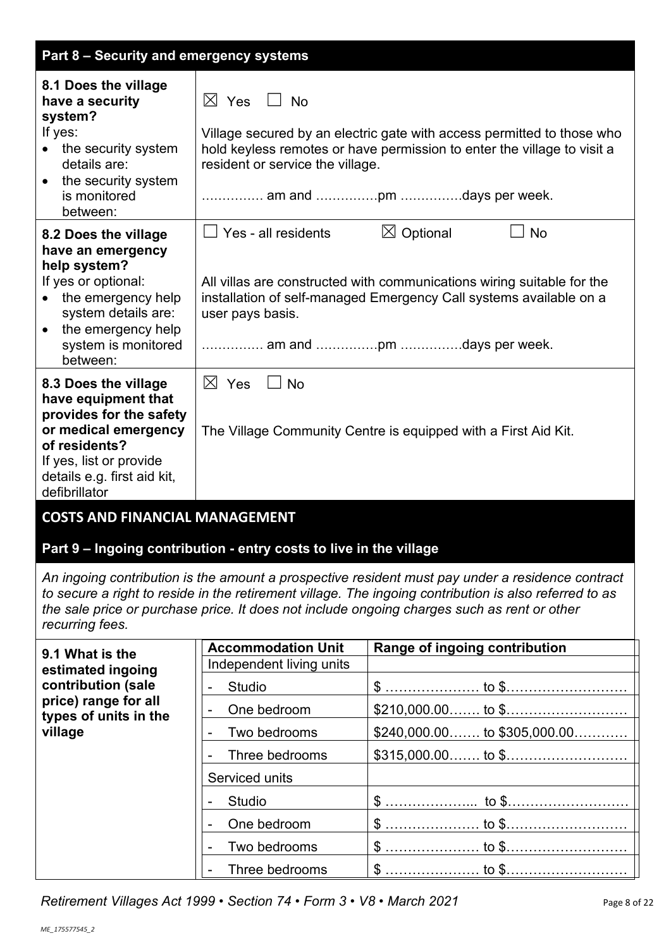| Part 8 - Security and emergency systems                                                                                                                                                    |                                                                    |                                                                                                                                                                                                                                                                                                           |
|--------------------------------------------------------------------------------------------------------------------------------------------------------------------------------------------|--------------------------------------------------------------------|-----------------------------------------------------------------------------------------------------------------------------------------------------------------------------------------------------------------------------------------------------------------------------------------------------------|
| 8.1 Does the village<br>have a security<br>system?<br>If yes:<br>the security system<br>details are:<br>• the security system<br>is monitored<br>between:                                  | $\boxtimes$ Yes<br>No<br>resident or service the village.          | Village secured by an electric gate with access permitted to those who<br>hold keyless remotes or have permission to enter the village to visit a<br>am and pm days per week.                                                                                                                             |
| 8.2 Does the village<br>have an emergency<br>help system?<br>If yes or optional:<br>the emergency help<br>system details are:<br>• the emergency help<br>system is monitored<br>between:   | Yes - all residents<br>user pays basis.                            | $\boxtimes$ Optional<br><b>No</b><br>All villas are constructed with communications wiring suitable for the<br>installation of self-managed Emergency Call systems available on a                                                                                                                         |
| 8.3 Does the village<br>have equipment that<br>provides for the safety<br>or medical emergency<br>of residents?<br>If yes, list or provide<br>details e.g. first aid kit,<br>defibrillator | $\boxtimes$ Yes<br><b>No</b>                                       | The Village Community Centre is equipped with a First Aid Kit.                                                                                                                                                                                                                                            |
| <b>COSTS AND FINANCIAL MANAGEMENT</b>                                                                                                                                                      |                                                                    |                                                                                                                                                                                                                                                                                                           |
|                                                                                                                                                                                            |                                                                    |                                                                                                                                                                                                                                                                                                           |
|                                                                                                                                                                                            | Part 9 - Ingoing contribution - entry costs to live in the village |                                                                                                                                                                                                                                                                                                           |
| recurring fees.                                                                                                                                                                            |                                                                    | An ingoing contribution is the amount a prospective resident must pay under a residence contract<br>to secure a right to reside in the retirement village. The ingoing contribution is also referred to as<br>the sale price or purchase price. It does not include ongoing charges such as rent or other |
| 9.1 What is the                                                                                                                                                                            | <b>Accommodation Unit</b>                                          | Range of ingoing contribution                                                                                                                                                                                                                                                                             |
| estimated ingoing                                                                                                                                                                          | Independent living units                                           |                                                                                                                                                                                                                                                                                                           |
| contribution (sale<br>price) range for all                                                                                                                                                 | <b>Studio</b>                                                      |                                                                                                                                                                                                                                                                                                           |
| types of units in the                                                                                                                                                                      | One bedroom<br>$\overline{\phantom{a}}$                            |                                                                                                                                                                                                                                                                                                           |
| village                                                                                                                                                                                    | Two bedrooms<br>۰                                                  | $$240,000.00$ to $$305,000.00$                                                                                                                                                                                                                                                                            |
|                                                                                                                                                                                            | Three bedrooms                                                     |                                                                                                                                                                                                                                                                                                           |
|                                                                                                                                                                                            | Serviced units                                                     |                                                                                                                                                                                                                                                                                                           |
|                                                                                                                                                                                            | <b>Studio</b>                                                      |                                                                                                                                                                                                                                                                                                           |
|                                                                                                                                                                                            | One bedroom<br>Two bedrooms                                        |                                                                                                                                                                                                                                                                                                           |
|                                                                                                                                                                                            | $\overline{\phantom{a}}$<br>Three bedrooms                         |                                                                                                                                                                                                                                                                                                           |

*Retirement Villages Act 1999* • *Section 74* • *Form 3* • *V8 • March 2021* Page 8 of 22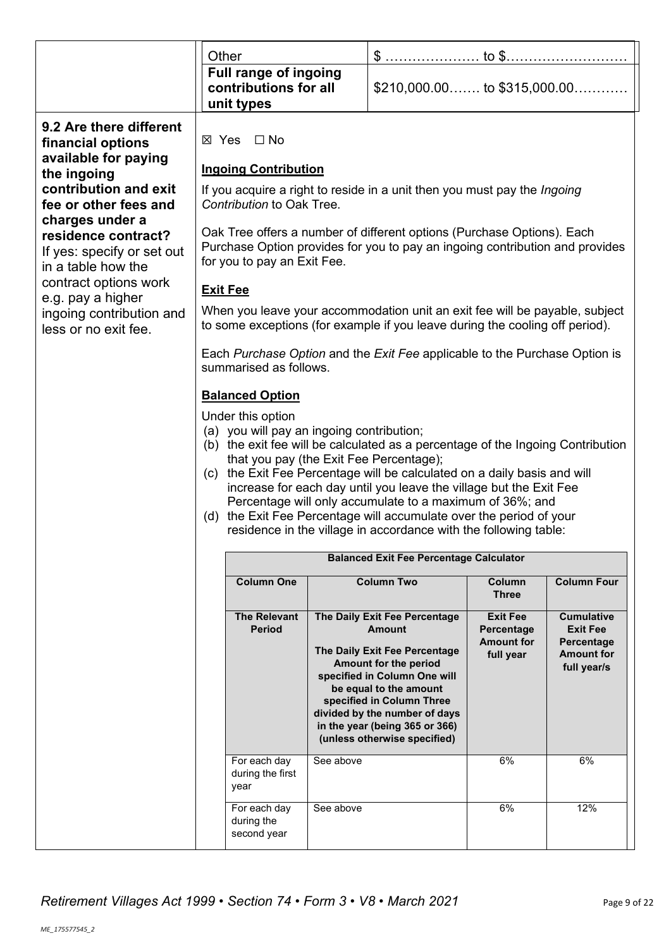|                                                                                            | Other                                                                                                                                                                                               |           |                                                                                                                                                                                                                                                  |                                                    |                                                    |  |
|--------------------------------------------------------------------------------------------|-----------------------------------------------------------------------------------------------------------------------------------------------------------------------------------------------------|-----------|--------------------------------------------------------------------------------------------------------------------------------------------------------------------------------------------------------------------------------------------------|----------------------------------------------------|----------------------------------------------------|--|
|                                                                                            | <b>Full range of ingoing</b><br>contributions for all<br>unit types                                                                                                                                 |           | $$210,000.00$ to $$315,000.00$                                                                                                                                                                                                                   |                                                    |                                                    |  |
| 9.2 Are there different<br>financial options                                               | ⊠ Yes □ No                                                                                                                                                                                          |           |                                                                                                                                                                                                                                                  |                                                    |                                                    |  |
| available for paying<br>the ingoing                                                        | <b>Ingoing Contribution</b>                                                                                                                                                                         |           |                                                                                                                                                                                                                                                  |                                                    |                                                    |  |
| contribution and exit<br>fee or other fees and                                             | If you acquire a right to reside in a unit then you must pay the <i>Ingoing</i><br>Contribution to Oak Tree.                                                                                        |           |                                                                                                                                                                                                                                                  |                                                    |                                                    |  |
| charges under a<br>residence contract?<br>If yes: specify or set out<br>in a table how the | Oak Tree offers a number of different options (Purchase Options). Each<br>Purchase Option provides for you to pay an ingoing contribution and provides<br>for you to pay an Exit Fee.               |           |                                                                                                                                                                                                                                                  |                                                    |                                                    |  |
| contract options work                                                                      | <b>Exit Fee</b>                                                                                                                                                                                     |           |                                                                                                                                                                                                                                                  |                                                    |                                                    |  |
| e.g. pay a higher<br>ingoing contribution and<br>less or no exit fee.                      | When you leave your accommodation unit an exit fee will be payable, subject<br>to some exceptions (for example if you leave during the cooling off period).                                         |           |                                                                                                                                                                                                                                                  |                                                    |                                                    |  |
|                                                                                            | Each Purchase Option and the Exit Fee applicable to the Purchase Option is<br>summarised as follows.                                                                                                |           |                                                                                                                                                                                                                                                  |                                                    |                                                    |  |
|                                                                                            | <b>Balanced Option</b>                                                                                                                                                                              |           |                                                                                                                                                                                                                                                  |                                                    |                                                    |  |
|                                                                                            | Under this option                                                                                                                                                                                   |           |                                                                                                                                                                                                                                                  |                                                    |                                                    |  |
|                                                                                            | (a) you will pay an ingoing contribution;<br>(b) the exit fee will be calculated as a percentage of the Ingoing Contribution                                                                        |           |                                                                                                                                                                                                                                                  |                                                    |                                                    |  |
|                                                                                            | that you pay (the Exit Fee Percentage);                                                                                                                                                             |           |                                                                                                                                                                                                                                                  |                                                    |                                                    |  |
|                                                                                            | (c) the Exit Fee Percentage will be calculated on a daily basis and will                                                                                                                            |           |                                                                                                                                                                                                                                                  |                                                    |                                                    |  |
|                                                                                            |                                                                                                                                                                                                     |           | increase for each day until you leave the village but the Exit Fee                                                                                                                                                                               |                                                    |                                                    |  |
|                                                                                            | Percentage will only accumulate to a maximum of 36%; and<br>(d) the Exit Fee Percentage will accumulate over the period of your<br>residence in the village in accordance with the following table: |           |                                                                                                                                                                                                                                                  |                                                    |                                                    |  |
|                                                                                            |                                                                                                                                                                                                     |           | <b>Balanced Exit Fee Percentage Calculator</b>                                                                                                                                                                                                   |                                                    |                                                    |  |
|                                                                                            | <b>Column One</b>                                                                                                                                                                                   |           | <b>Column Two</b>                                                                                                                                                                                                                                | Column<br><b>Three</b>                             | <b>Column Four</b>                                 |  |
|                                                                                            | <b>The Relevant</b><br><b>Period</b>                                                                                                                                                                |           | The Daily Exit Fee Percentage<br><b>Amount</b>                                                                                                                                                                                                   | <b>Exit Fee</b><br>Percentage<br><b>Amount for</b> | <b>Cumulative</b><br><b>Exit Fee</b><br>Percentage |  |
|                                                                                            |                                                                                                                                                                                                     |           | The Daily Exit Fee Percentage<br>Amount for the period<br>specified in Column One will<br>be equal to the amount<br>specified in Column Three<br>divided by the number of days<br>in the year (being 365 or 366)<br>(unless otherwise specified) | full year                                          | <b>Amount for</b><br>full year/s                   |  |
|                                                                                            | For each day<br>during the first<br>year                                                                                                                                                            | See above |                                                                                                                                                                                                                                                  | 6%                                                 | 6%                                                 |  |
|                                                                                            | For each day<br>during the                                                                                                                                                                          | See above |                                                                                                                                                                                                                                                  | 6%                                                 | 12%                                                |  |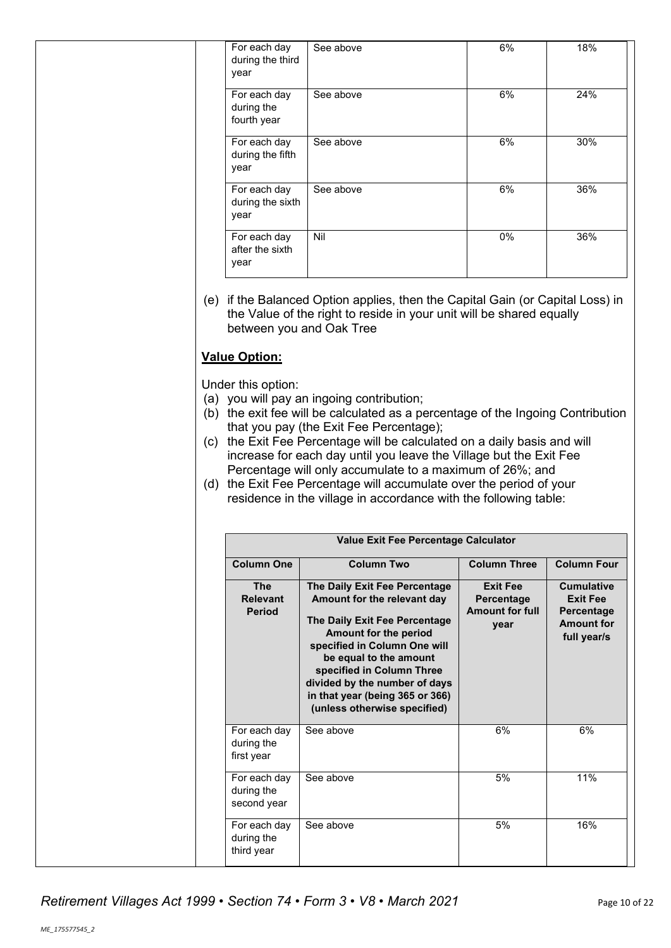| For each day<br>during the third<br>year  | See above | 6%    | 18% |
|-------------------------------------------|-----------|-------|-----|
| For each day<br>during the<br>fourth year | See above | 6%    | 24% |
| For each day<br>during the fifth<br>year  | See above | 6%    | 30% |
| For each day<br>during the sixth<br>year  | See above | 6%    | 36% |
| For each day<br>after the sixth<br>year   | Nil       | $0\%$ | 36% |

(e) if the Balanced Option applies, then the Capital Gain (or Capital Loss) in the Value of the right to reside in your unit will be shared equally between you and Oak Tree

# **Value Option:**

Under this option:

- (a) you will pay an ingoing contribution;
- (b) the exit fee will be calculated as a percentage of the Ingoing Contribution that you pay (the Exit Fee Percentage);
- (c) the Exit Fee Percentage will be calculated on a daily basis and will increase for each day until you leave the Village but the Exit Fee Percentage will only accumulate to a maximum of 26%; and
- (d) the Exit Fee Percentage will accumulate over the period of your residence in the village in accordance with the following table:

|                                                | Value Exit Fee Percentage Calculator                                                                                                                                                                                                                                                                              |                                                                 |                                                                                        |  |  |
|------------------------------------------------|-------------------------------------------------------------------------------------------------------------------------------------------------------------------------------------------------------------------------------------------------------------------------------------------------------------------|-----------------------------------------------------------------|----------------------------------------------------------------------------------------|--|--|
| <b>Column One</b>                              | <b>Column Two</b>                                                                                                                                                                                                                                                                                                 | <b>Column Three</b>                                             | <b>Column Four</b>                                                                     |  |  |
| <b>The</b><br><b>Relevant</b><br><b>Period</b> | The Daily Exit Fee Percentage<br>Amount for the relevant day<br>The Daily Exit Fee Percentage<br>Amount for the period<br>specified in Column One will<br>be equal to the amount<br>specified in Column Three<br>divided by the number of days<br>in that year (being 365 or 366)<br>(unless otherwise specified) | <b>Exit Fee</b><br>Percentage<br><b>Amount for full</b><br>year | <b>Cumulative</b><br><b>Exit Fee</b><br>Percentage<br><b>Amount for</b><br>full year/s |  |  |
| For each day<br>during the<br>first year       | See above                                                                                                                                                                                                                                                                                                         | 6%                                                              | 6%                                                                                     |  |  |
| For each day<br>during the<br>second year      | See above                                                                                                                                                                                                                                                                                                         | 5%                                                              | 11%                                                                                    |  |  |
| For each day<br>during the<br>third year       | See above                                                                                                                                                                                                                                                                                                         | 5%                                                              | 16%                                                                                    |  |  |

*Retirement Villages Act 1999* • *Section 74* • *Form 3* • *V8 • March 2021* Page 10 of 22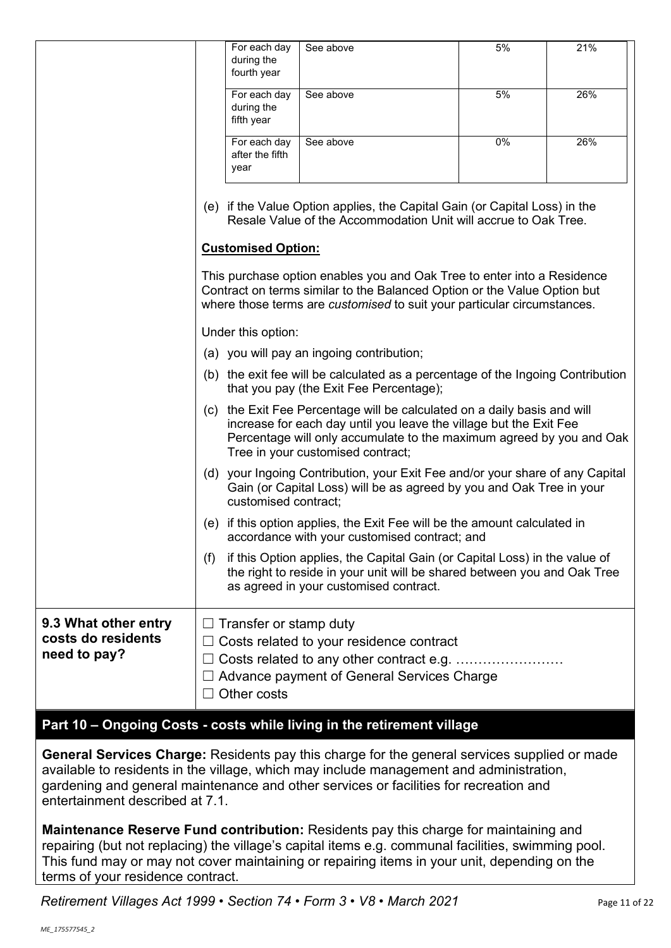|                                                            | For each day<br>during the<br>fourth year                                                                                                                                                                                                                      | See above                                                                                                                                                                                                                      | 5% | 21% |  |  |
|------------------------------------------------------------|----------------------------------------------------------------------------------------------------------------------------------------------------------------------------------------------------------------------------------------------------------------|--------------------------------------------------------------------------------------------------------------------------------------------------------------------------------------------------------------------------------|----|-----|--|--|
|                                                            | For each day<br>during the<br>fifth year                                                                                                                                                                                                                       | See above                                                                                                                                                                                                                      | 5% | 26% |  |  |
|                                                            | For each day<br>after the fifth<br>year                                                                                                                                                                                                                        | See above                                                                                                                                                                                                                      | 0% | 26% |  |  |
|                                                            | (e) if the Value Option applies, the Capital Gain (or Capital Loss) in the<br>Resale Value of the Accommodation Unit will accrue to Oak Tree.                                                                                                                  |                                                                                                                                                                                                                                |    |     |  |  |
|                                                            | <b>Customised Option:</b>                                                                                                                                                                                                                                      |                                                                                                                                                                                                                                |    |     |  |  |
|                                                            |                                                                                                                                                                                                                                                                | This purchase option enables you and Oak Tree to enter into a Residence<br>Contract on terms similar to the Balanced Option or the Value Option but<br>where those terms are customised to suit your particular circumstances. |    |     |  |  |
|                                                            | Under this option:                                                                                                                                                                                                                                             |                                                                                                                                                                                                                                |    |     |  |  |
|                                                            |                                                                                                                                                                                                                                                                | (a) you will pay an ingoing contribution;                                                                                                                                                                                      |    |     |  |  |
|                                                            | (b) the exit fee will be calculated as a percentage of the Ingoing Contribution<br>that you pay (the Exit Fee Percentage);                                                                                                                                     |                                                                                                                                                                                                                                |    |     |  |  |
|                                                            | the Exit Fee Percentage will be calculated on a daily basis and will<br>(c)<br>increase for each day until you leave the village but the Exit Fee<br>Percentage will only accumulate to the maximum agreed by you and Oak<br>Tree in your customised contract; |                                                                                                                                                                                                                                |    |     |  |  |
|                                                            | customised contract;                                                                                                                                                                                                                                           | (d) your Ingoing Contribution, your Exit Fee and/or your share of any Capital<br>Gain (or Capital Loss) will be as agreed by you and Oak Tree in your                                                                          |    |     |  |  |
|                                                            |                                                                                                                                                                                                                                                                | (e) if this option applies, the Exit Fee will be the amount calculated in<br>accordance with your customised contract; and                                                                                                     |    |     |  |  |
|                                                            | (f)                                                                                                                                                                                                                                                            | if this Option applies, the Capital Gain (or Capital Loss) in the value of<br>the right to reside in your unit will be shared between you and Oak Tree<br>as agreed in your customised contract.                               |    |     |  |  |
| 9.3 What other entry<br>costs do residents<br>need to pay? | Transfer or stamp duty<br>Other costs                                                                                                                                                                                                                          | Costs related to your residence contract<br>Costs related to any other contract e.g.<br>Advance payment of General Services Charge                                                                                             |    |     |  |  |

# **Part 10 – Ongoing Costs - costs while living in the retirement village**

**General Services Charge:** Residents pay this charge for the general services supplied or made available to residents in the village, which may include management and administration, gardening and general maintenance and other services or facilities for recreation and entertainment described at 7.1.

**Maintenance Reserve Fund contribution:** Residents pay this charge for maintaining and repairing (but not replacing) the village's capital items e.g. communal facilities, swimming pool. This fund may or may not cover maintaining or repairing items in your unit, depending on the terms of your residence contract.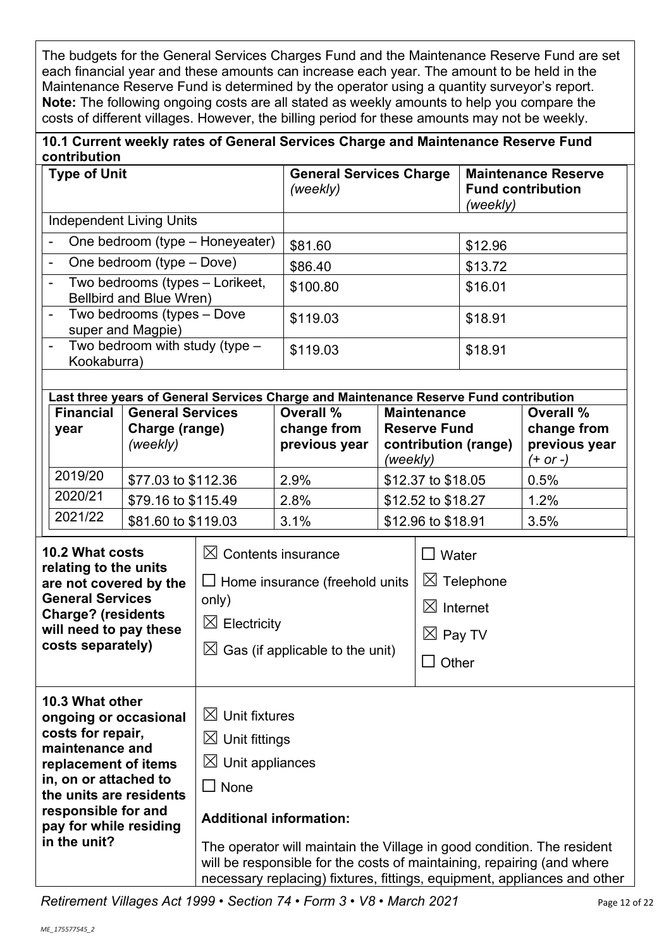The budgets for the General Services Charges Fund and the Maintenance Reserve Fund are set each financial year and these amounts can increase each year. The amount to be held in the Maintenance Reserve Fund is determined by the operator using a quantity surveyor's report. **Note:** The following ongoing costs are all stated as weekly amounts to help you compare the costs of different villages. However, the billing period for these amounts may not be weekly.

| 10.1 Current weekly rates of General Services Charge and Maintenance Reserve Fund |  |
|-----------------------------------------------------------------------------------|--|
| contribution                                                                      |  |

| <b>Type of Unit</b>                                                                                                                                                                                                           |             |                                                                                                                                                            | <b>General Services Charge</b><br>(weekly)                                                                                                       |                                                                                       | <b>Maintenance Reserve</b><br><b>Fund contribution</b><br>(weekly)           |                                                         |                                                                          |      |
|-------------------------------------------------------------------------------------------------------------------------------------------------------------------------------------------------------------------------------|-------------|------------------------------------------------------------------------------------------------------------------------------------------------------------|--------------------------------------------------------------------------------------------------------------------------------------------------|---------------------------------------------------------------------------------------|------------------------------------------------------------------------------|---------------------------------------------------------|--------------------------------------------------------------------------|------|
| <b>Independent Living Units</b>                                                                                                                                                                                               |             |                                                                                                                                                            |                                                                                                                                                  |                                                                                       |                                                                              |                                                         |                                                                          |      |
| One bedroom (type - Honeyeater)                                                                                                                                                                                               |             |                                                                                                                                                            | \$81.60                                                                                                                                          |                                                                                       |                                                                              | \$12.96                                                 |                                                                          |      |
|                                                                                                                                                                                                                               |             | One bedroom (type - Dove)                                                                                                                                  |                                                                                                                                                  | \$86.40                                                                               |                                                                              |                                                         | \$13.72                                                                  |      |
|                                                                                                                                                                                                                               |             | Two bedrooms (types - Lorikeet,<br>Bellbird and Blue Wren)                                                                                                 |                                                                                                                                                  | \$100.80                                                                              |                                                                              |                                                         | \$16.01                                                                  |      |
|                                                                                                                                                                                                                               |             | Two bedrooms (types - Dove<br>super and Magpie)                                                                                                            |                                                                                                                                                  | \$119.03                                                                              |                                                                              |                                                         | \$18.91                                                                  |      |
|                                                                                                                                                                                                                               | Kookaburra) | Two bedroom with study (type -                                                                                                                             |                                                                                                                                                  | \$119.03                                                                              |                                                                              |                                                         | \$18.91                                                                  |      |
|                                                                                                                                                                                                                               |             |                                                                                                                                                            |                                                                                                                                                  | Last three years of General Services Charge and Maintenance Reserve Fund contribution |                                                                              |                                                         |                                                                          |      |
| <b>Financial</b><br><b>General Services</b><br>Charge (range)<br>year<br>(weekly)                                                                                                                                             |             |                                                                                                                                                            | Overall %<br><b>Maintenance</b><br>change from<br><b>Reserve Fund</b><br>previous year<br>contribution (range)<br>(weekly)                       |                                                                                       |                                                                              | Overall %<br>change from<br>previous year<br>$(+ or -)$ |                                                                          |      |
|                                                                                                                                                                                                                               | 2019/20     | \$77.03 to \$112.36                                                                                                                                        |                                                                                                                                                  | 2.9%                                                                                  |                                                                              | \$12.37 to \$18.05                                      |                                                                          | 0.5% |
|                                                                                                                                                                                                                               | 2020/21     | \$79.16 to \$115.49                                                                                                                                        |                                                                                                                                                  | 2.8%                                                                                  |                                                                              | \$12.52 to \$18.27                                      |                                                                          | 1.2% |
|                                                                                                                                                                                                                               | 2021/22     | \$81.60 to \$119.03                                                                                                                                        |                                                                                                                                                  | 3.1%                                                                                  |                                                                              | \$12.96 to \$18.91                                      |                                                                          | 3.5% |
| 10.2 What costs<br>relating to the units<br>are not covered by the<br><b>General Services</b><br><b>Charge? (residents</b><br>will need to pay these<br>costs separately)                                                     |             | $\boxtimes$ Contents insurance<br>$\Box$ Home insurance (freehold units<br>only)<br>$\boxtimes$ Electricity<br>$\boxtimes$ Gas (if applicable to the unit) |                                                                                                                                                  | $\square$ Water                                                                       | $\boxtimes$ Telephone<br>$\boxtimes$ Internet<br>$\boxtimes$ Pay TV<br>Other |                                                         |                                                                          |      |
| 10.3 What other<br>ongoing or occasional<br>costs for repair,<br>maintenance and<br>replacement of items<br>in, on or attached to<br>the units are residents<br>responsible for and<br>pay for while residing<br>in the unit? |             | $\boxtimes$ Unit fixtures<br>$\boxtimes$ Unit fittings<br>$\boxtimes$<br>Unit appliances<br>$\square$ None<br><b>Additional information:</b>               | The operator will maintain the Village in good condition. The resident<br>will be responsible for the costs of maintaining, repairing (and where |                                                                                       |                                                                              |                                                         | necessary replacing) fixtures, fittings, equipment, appliances and other |      |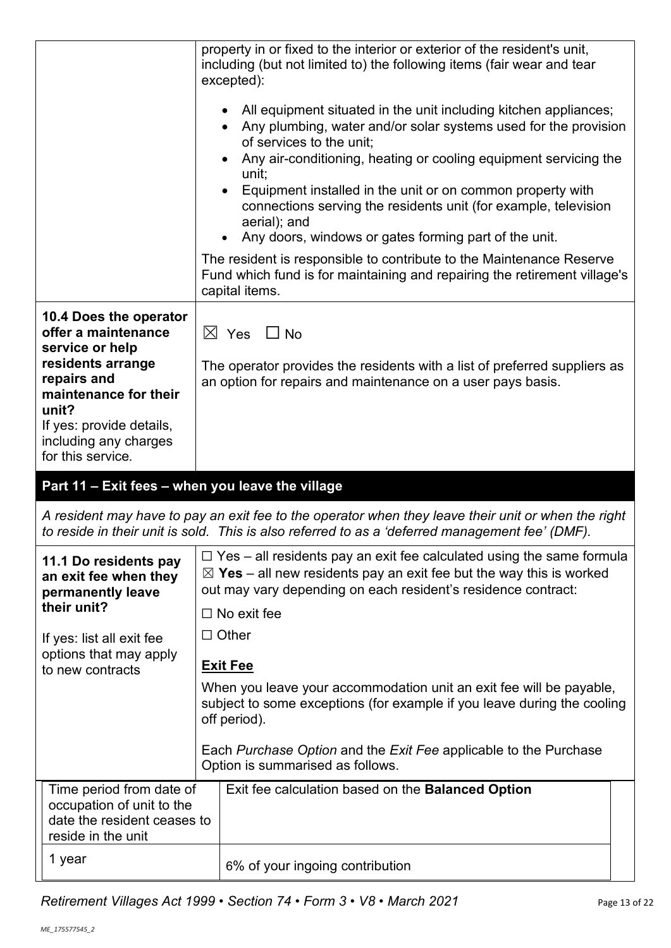|                                                                                                                                                                                                                  | property in or fixed to the interior or exterior of the resident's unit,<br>including (but not limited to) the following items (fair wear and tear<br>excepted):<br>All equipment situated in the unit including kitchen appliances;<br>Any plumbing, water and/or solar systems used for the provision<br>of services to the unit;<br>Any air-conditioning, heating or cooling equipment servicing the<br>unit;<br>Equipment installed in the unit or on common property with<br>connections serving the residents unit (for example, television<br>aerial); and<br>Any doors, windows or gates forming part of the unit.<br>The resident is responsible to contribute to the Maintenance Reserve<br>Fund which fund is for maintaining and repairing the retirement village's<br>capital items. |
|------------------------------------------------------------------------------------------------------------------------------------------------------------------------------------------------------------------|---------------------------------------------------------------------------------------------------------------------------------------------------------------------------------------------------------------------------------------------------------------------------------------------------------------------------------------------------------------------------------------------------------------------------------------------------------------------------------------------------------------------------------------------------------------------------------------------------------------------------------------------------------------------------------------------------------------------------------------------------------------------------------------------------|
| 10.4 Does the operator<br>offer a maintenance<br>service or help<br>residents arrange<br>repairs and<br>maintenance for their<br>unit?<br>If yes: provide details,<br>including any charges<br>for this service. | $\boxtimes$ Yes $\Box$ No<br>The operator provides the residents with a list of preferred suppliers as<br>an option for repairs and maintenance on a user pays basis.                                                                                                                                                                                                                                                                                                                                                                                                                                                                                                                                                                                                                             |
|                                                                                                                                                                                                                  | Part 11 - Exit fees - when you leave the village                                                                                                                                                                                                                                                                                                                                                                                                                                                                                                                                                                                                                                                                                                                                                  |
|                                                                                                                                                                                                                  |                                                                                                                                                                                                                                                                                                                                                                                                                                                                                                                                                                                                                                                                                                                                                                                                   |
|                                                                                                                                                                                                                  | A resident may have to pay an exit fee to the operator when they leave their unit or when the right<br>to reside in their unit is sold. This is also referred to as a 'deferred management fee' (DMF).                                                                                                                                                                                                                                                                                                                                                                                                                                                                                                                                                                                            |
| 11.1 Do residents pay<br>an exit fee when they<br>permanently leave<br>their unit?<br>If yes: list all exit fee<br>options that may apply<br>to new contracts                                                    | $\Box$ Yes – all residents pay an exit fee calculated using the same formula<br>$\boxtimes$ Yes – all new residents pay an exit fee but the way this is worked<br>out may vary depending on each resident's residence contract:<br>$\Box$ No exit fee<br>$\Box$ Other<br><b>Exit Fee</b><br>When you leave your accommodation unit an exit fee will be payable,<br>subject to some exceptions (for example if you leave during the cooling<br>off period).<br>Each Purchase Option and the Exit Fee applicable to the Purchase<br>Option is summarised as follows.                                                                                                                                                                                                                                |
| Time period from date of<br>occupation of unit to the<br>date the resident ceases to<br>reside in the unit<br>1 year                                                                                             | Exit fee calculation based on the Balanced Option<br>6% of your ingoing contribution                                                                                                                                                                                                                                                                                                                                                                                                                                                                                                                                                                                                                                                                                                              |

*Retirement Villages Act 1999 • Section 74 • Form 3 • V8 • March 2021* Page 13 of 22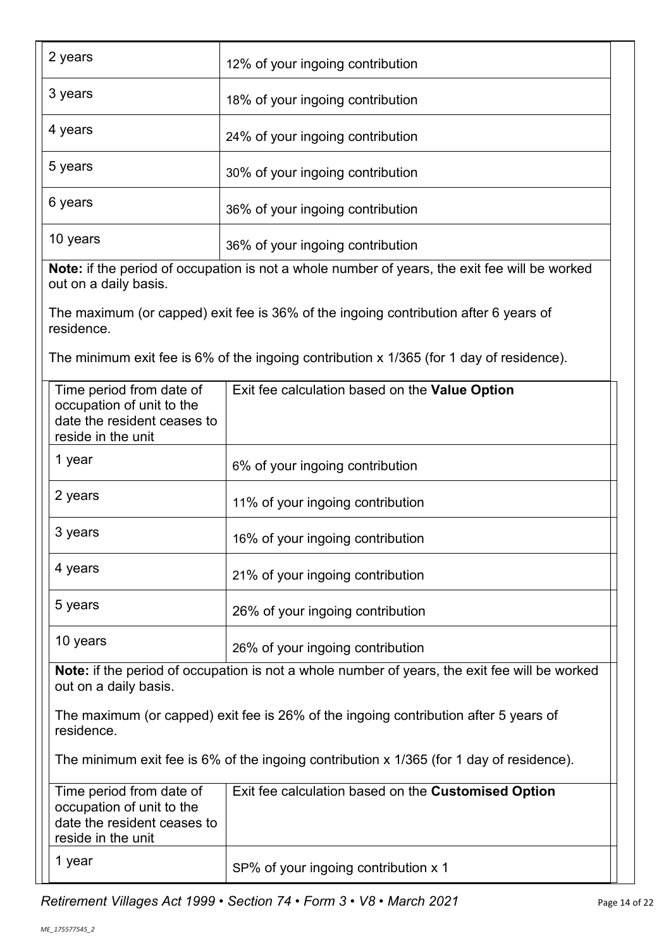| 2 years                                                                                                    | 12% of your ingoing contribution                                                                     |  |  |  |
|------------------------------------------------------------------------------------------------------------|------------------------------------------------------------------------------------------------------|--|--|--|
| 3 years                                                                                                    | 18% of your ingoing contribution                                                                     |  |  |  |
| 4 years                                                                                                    | 24% of your ingoing contribution                                                                     |  |  |  |
| 5 years                                                                                                    | 30% of your ingoing contribution                                                                     |  |  |  |
| 6 years                                                                                                    | 36% of your ingoing contribution                                                                     |  |  |  |
| 10 years                                                                                                   | 36% of your ingoing contribution                                                                     |  |  |  |
| out on a daily basis.                                                                                      | <b>Note:</b> if the period of occupation is not a whole number of years, the exit fee will be worked |  |  |  |
| residence.                                                                                                 | The maximum (or capped) exit fee is 36% of the ingoing contribution after 6 years of                 |  |  |  |
|                                                                                                            | The minimum exit fee is 6% of the ingoing contribution x 1/365 (for 1 day of residence).             |  |  |  |
| Time period from date of<br>occupation of unit to the<br>date the resident ceases to<br>reside in the unit | Exit fee calculation based on the Value Option                                                       |  |  |  |
| 1 year                                                                                                     | 6% of your ingoing contribution                                                                      |  |  |  |
| 2 years                                                                                                    | 11% of your ingoing contribution                                                                     |  |  |  |
| 3 years                                                                                                    | 16% of your ingoing contribution                                                                     |  |  |  |
| 4 years                                                                                                    | 21% of your ingoing contribution                                                                     |  |  |  |
| 5 years                                                                                                    | 26% of your ingoing contribution                                                                     |  |  |  |
| 10 years                                                                                                   | 26% of your ingoing contribution                                                                     |  |  |  |
| out on a daily basis.                                                                                      | Note: if the period of occupation is not a whole number of years, the exit fee will be worked        |  |  |  |
| residence.                                                                                                 | The maximum (or capped) exit fee is 26% of the ingoing contribution after 5 years of                 |  |  |  |
| The minimum exit fee is 6% of the ingoing contribution x 1/365 (for 1 day of residence).                   |                                                                                                      |  |  |  |
| Time period from date of<br>occupation of unit to the<br>date the resident ceases to<br>reside in the unit | Exit fee calculation based on the Customised Option                                                  |  |  |  |
|                                                                                                            |                                                                                                      |  |  |  |

1 year  $\left| \text{SP\% of your ingoing contribution x 1} \right|$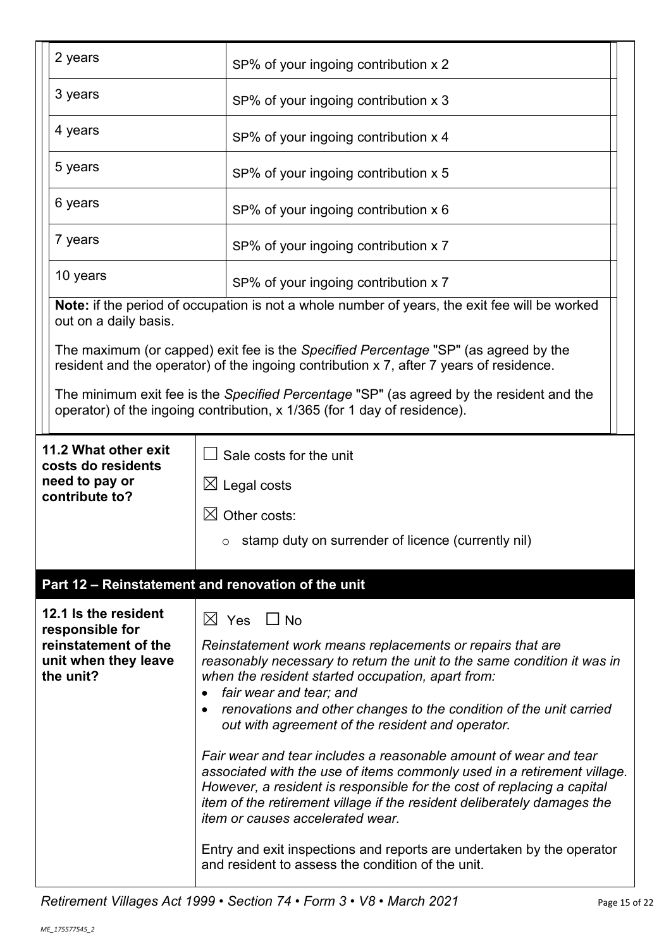|  | 2 years                                                   | SP% of your ingoing contribution x 2                                                                                                                                                                                                                                                                                                           |  |  |
|--|-----------------------------------------------------------|------------------------------------------------------------------------------------------------------------------------------------------------------------------------------------------------------------------------------------------------------------------------------------------------------------------------------------------------|--|--|
|  | 3 years                                                   | SP% of your ingoing contribution x 3                                                                                                                                                                                                                                                                                                           |  |  |
|  | 4 years                                                   | SP% of your ingoing contribution x 4                                                                                                                                                                                                                                                                                                           |  |  |
|  | 5 years                                                   | SP% of your ingoing contribution x 5                                                                                                                                                                                                                                                                                                           |  |  |
|  | 6 years                                                   | SP% of your ingoing contribution x 6                                                                                                                                                                                                                                                                                                           |  |  |
|  | 7 years                                                   | SP% of your ingoing contribution x 7                                                                                                                                                                                                                                                                                                           |  |  |
|  | 10 years                                                  | SP% of your ingoing contribution x 7                                                                                                                                                                                                                                                                                                           |  |  |
|  | out on a daily basis.                                     | Note: if the period of occupation is not a whole number of years, the exit fee will be worked                                                                                                                                                                                                                                                  |  |  |
|  |                                                           | The maximum (or capped) exit fee is the Specified Percentage "SP" (as agreed by the<br>resident and the operator) of the ingoing contribution x 7, after 7 years of residence.                                                                                                                                                                 |  |  |
|  |                                                           | The minimum exit fee is the Specified Percentage "SP" (as agreed by the resident and the<br>operator) of the ingoing contribution, x 1/365 (for 1 day of residence).                                                                                                                                                                           |  |  |
|  | 11.2 What other exit<br>costs do residents                | Sale costs for the unit                                                                                                                                                                                                                                                                                                                        |  |  |
|  | need to pay or<br>contribute to?                          | $\boxtimes$ Legal costs                                                                                                                                                                                                                                                                                                                        |  |  |
|  |                                                           | $\boxtimes$ Other costs:                                                                                                                                                                                                                                                                                                                       |  |  |
|  |                                                           | $\circ$ stamp duty on surrender of licence (currently nil)                                                                                                                                                                                                                                                                                     |  |  |
|  |                                                           | Part 12 - Reinstatement and renovation of the unit                                                                                                                                                                                                                                                                                             |  |  |
|  | 12.1 Is the resident<br>responsible for                   | $\boxtimes$ Yes $\Box$ No                                                                                                                                                                                                                                                                                                                      |  |  |
|  | reinstatement of the<br>unit when they leave<br>the unit? | Reinstatement work means replacements or repairs that are<br>reasonably necessary to return the unit to the same condition it was in<br>when the resident started occupation, apart from:<br>fair wear and tear; and<br>renovations and other changes to the condition of the unit carried<br>out with agreement of the resident and operator. |  |  |
|  |                                                           | Fair wear and tear includes a reasonable amount of wear and tear<br>associated with the use of items commonly used in a retirement village.<br>However, a resident is responsible for the cost of replacing a capital<br>item of the retirement village if the resident deliberately damages the<br>item or causes accelerated wear.           |  |  |
|  |                                                           | Entry and exit inspections and reports are undertaken by the operator<br>and resident to assess the condition of the unit.                                                                                                                                                                                                                     |  |  |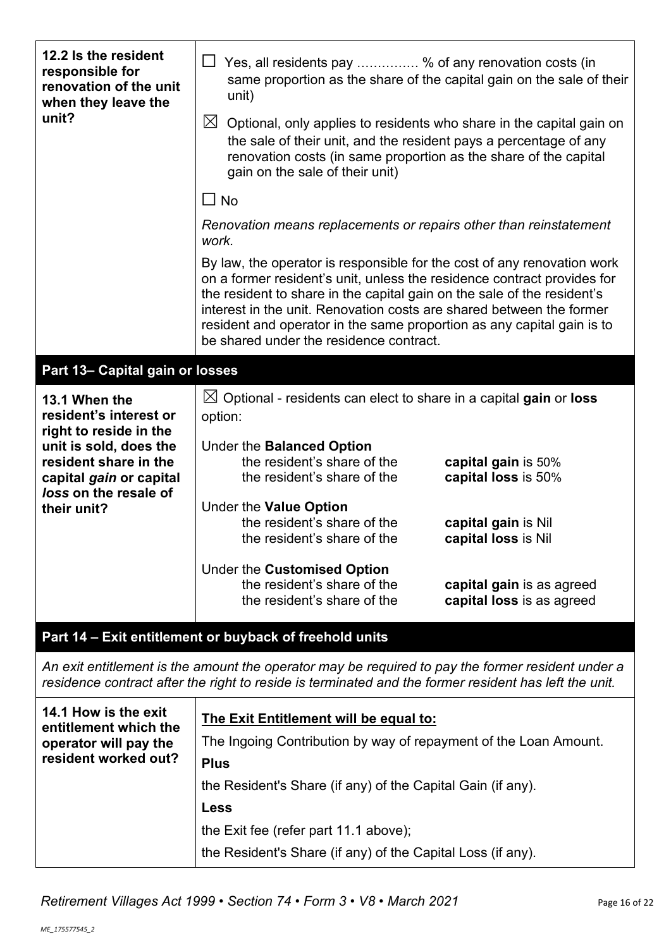| 12.2 Is the resident<br>responsible for<br>renovation of the unit<br>when they leave the                                                                                                                   | $\Box$ Yes, all residents pay  % of any renovation costs (in<br>same proportion as the share of the capital gain on the sale of their<br>unit)                                                                                                                                                                                                                                                                                                                                                                                 |  |  |  |
|------------------------------------------------------------------------------------------------------------------------------------------------------------------------------------------------------------|--------------------------------------------------------------------------------------------------------------------------------------------------------------------------------------------------------------------------------------------------------------------------------------------------------------------------------------------------------------------------------------------------------------------------------------------------------------------------------------------------------------------------------|--|--|--|
| unit?                                                                                                                                                                                                      | $\boxtimes$<br>Optional, only applies to residents who share in the capital gain on<br>the sale of their unit, and the resident pays a percentage of any<br>renovation costs (in same proportion as the share of the capital<br>gain on the sale of their unit)                                                                                                                                                                                                                                                                |  |  |  |
|                                                                                                                                                                                                            | $\Box$ No                                                                                                                                                                                                                                                                                                                                                                                                                                                                                                                      |  |  |  |
|                                                                                                                                                                                                            | Renovation means replacements or repairs other than reinstatement<br>work.                                                                                                                                                                                                                                                                                                                                                                                                                                                     |  |  |  |
|                                                                                                                                                                                                            | By law, the operator is responsible for the cost of any renovation work<br>on a former resident's unit, unless the residence contract provides for<br>the resident to share in the capital gain on the sale of the resident's<br>interest in the unit. Renovation costs are shared between the former<br>resident and operator in the same proportion as any capital gain is to<br>be shared under the residence contract.                                                                                                     |  |  |  |
| Part 13- Capital gain or losses                                                                                                                                                                            |                                                                                                                                                                                                                                                                                                                                                                                                                                                                                                                                |  |  |  |
| 13.1 When the<br>resident's interest or<br>right to reside in the<br>unit is sold, does the<br>resident share in the<br>capital gain or capital<br>loss on the resale of<br>their unit?                    | $\boxtimes$ Optional - residents can elect to share in a capital gain or loss<br>option:<br>Under the Balanced Option<br>the resident's share of the<br>capital gain is 50%<br>the resident's share of the<br>capital loss is 50%<br>Under the Value Option<br>the resident's share of the<br>capital gain is Nil<br>the resident's share of the<br>capital loss is Nil<br>Under the Customised Option<br>the resident's share of the<br>capital gain is as agreed<br>the resident's share of the<br>capital loss is as agreed |  |  |  |
|                                                                                                                                                                                                            | Part 14 - Exit entitlement or buyback of freehold units                                                                                                                                                                                                                                                                                                                                                                                                                                                                        |  |  |  |
| An exit entitlement is the amount the operator may be required to pay the former resident under a<br>residence contract after the right to reside is terminated and the former resident has left the unit. |                                                                                                                                                                                                                                                                                                                                                                                                                                                                                                                                |  |  |  |
| 14.1 How is the exit<br>entitlement which the<br>operator will pay the<br>resident worked out?                                                                                                             | The Exit Entitlement will be equal to:<br>The Ingoing Contribution by way of repayment of the Loan Amount.<br><b>Plus</b>                                                                                                                                                                                                                                                                                                                                                                                                      |  |  |  |
|                                                                                                                                                                                                            | the Resident's Share (if any) of the Capital Gain (if any).<br><b>Less</b>                                                                                                                                                                                                                                                                                                                                                                                                                                                     |  |  |  |
|                                                                                                                                                                                                            | the Exit fee (refer part 11.1 above);                                                                                                                                                                                                                                                                                                                                                                                                                                                                                          |  |  |  |
|                                                                                                                                                                                                            | the Resident's Share (if any) of the Capital Loss (if any).                                                                                                                                                                                                                                                                                                                                                                                                                                                                    |  |  |  |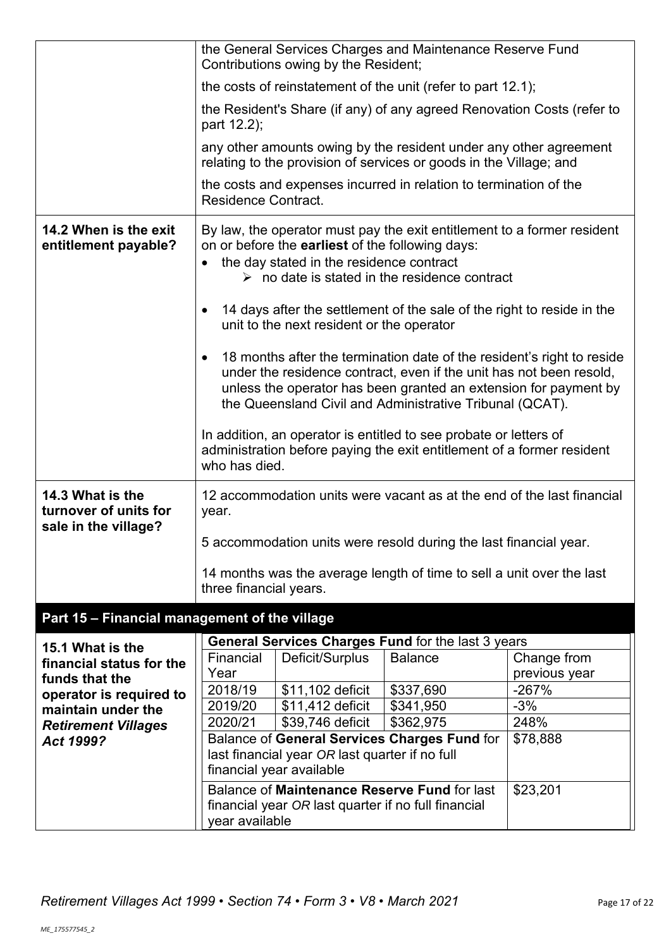|                                                                   |                                                                                                                                        | Contributions owing by the Resident;                                                                | the General Services Charges and Maintenance Reserve Fund                                                                                                                                                                                                                     |                  |
|-------------------------------------------------------------------|----------------------------------------------------------------------------------------------------------------------------------------|-----------------------------------------------------------------------------------------------------|-------------------------------------------------------------------------------------------------------------------------------------------------------------------------------------------------------------------------------------------------------------------------------|------------------|
|                                                                   |                                                                                                                                        |                                                                                                     | the costs of reinstatement of the unit (refer to part 12.1);                                                                                                                                                                                                                  |                  |
|                                                                   | part 12.2);                                                                                                                            |                                                                                                     | the Resident's Share (if any) of any agreed Renovation Costs (refer to                                                                                                                                                                                                        |                  |
|                                                                   |                                                                                                                                        |                                                                                                     | any other amounts owing by the resident under any other agreement<br>relating to the provision of services or goods in the Village; and                                                                                                                                       |                  |
|                                                                   | <b>Residence Contract.</b>                                                                                                             |                                                                                                     | the costs and expenses incurred in relation to termination of the                                                                                                                                                                                                             |                  |
| 14.2 When is the exit<br>entitlement payable?                     |                                                                                                                                        | on or before the <b>earliest</b> of the following days:<br>the day stated in the residence contract | By law, the operator must pay the exit entitlement to a former resident<br>$\triangleright$ no date is stated in the residence contract                                                                                                                                       |                  |
|                                                                   | ٠                                                                                                                                      | unit to the next resident or the operator                                                           | 14 days after the settlement of the sale of the right to reside in the                                                                                                                                                                                                        |                  |
|                                                                   |                                                                                                                                        |                                                                                                     | 18 months after the termination date of the resident's right to reside<br>under the residence contract, even if the unit has not been resold,<br>unless the operator has been granted an extension for payment by<br>the Queensland Civil and Administrative Tribunal (QCAT). |                  |
|                                                                   | who has died.                                                                                                                          |                                                                                                     | In addition, an operator is entitled to see probate or letters of<br>administration before paying the exit entitlement of a former resident                                                                                                                                   |                  |
| 14.3 What is the<br>turnover of units for<br>sale in the village? | year.                                                                                                                                  |                                                                                                     | 12 accommodation units were vacant as at the end of the last financial                                                                                                                                                                                                        |                  |
|                                                                   | 5 accommodation units were resold during the last financial year.                                                                      |                                                                                                     |                                                                                                                                                                                                                                                                               |                  |
|                                                                   | three financial years.                                                                                                                 |                                                                                                     | 14 months was the average length of time to sell a unit over the last                                                                                                                                                                                                         |                  |
| Part 15 - Financial management of the village                     |                                                                                                                                        |                                                                                                     |                                                                                                                                                                                                                                                                               |                  |
| 15.1 What is the                                                  |                                                                                                                                        |                                                                                                     | General Services Charges Fund for the last 3 years                                                                                                                                                                                                                            |                  |
| financial status for the                                          | Financial                                                                                                                              | Deficit/Surplus                                                                                     | <b>Balance</b>                                                                                                                                                                                                                                                                | Change from      |
| funds that the                                                    | Year                                                                                                                                   |                                                                                                     |                                                                                                                                                                                                                                                                               | previous year    |
| operator is required to                                           | 2018/19<br>2019/20                                                                                                                     | \$11,102 deficit<br>\$11,412 deficit                                                                | \$337,690<br>\$341,950                                                                                                                                                                                                                                                        | $-267%$<br>$-3%$ |
| maintain under the<br><b>Retirement Villages</b>                  | 2020/21                                                                                                                                | \$39,746 deficit                                                                                    | \$362,975                                                                                                                                                                                                                                                                     | 248%             |
| Act 1999?                                                         | Balance of General Services Charges Fund for<br>\$78,888<br>last financial year OR last quarter if no full<br>financial year available |                                                                                                     |                                                                                                                                                                                                                                                                               |                  |
|                                                                   | year available                                                                                                                         | financial year OR last quarter if no full financial                                                 | Balance of Maintenance Reserve Fund for last                                                                                                                                                                                                                                  | \$23,201         |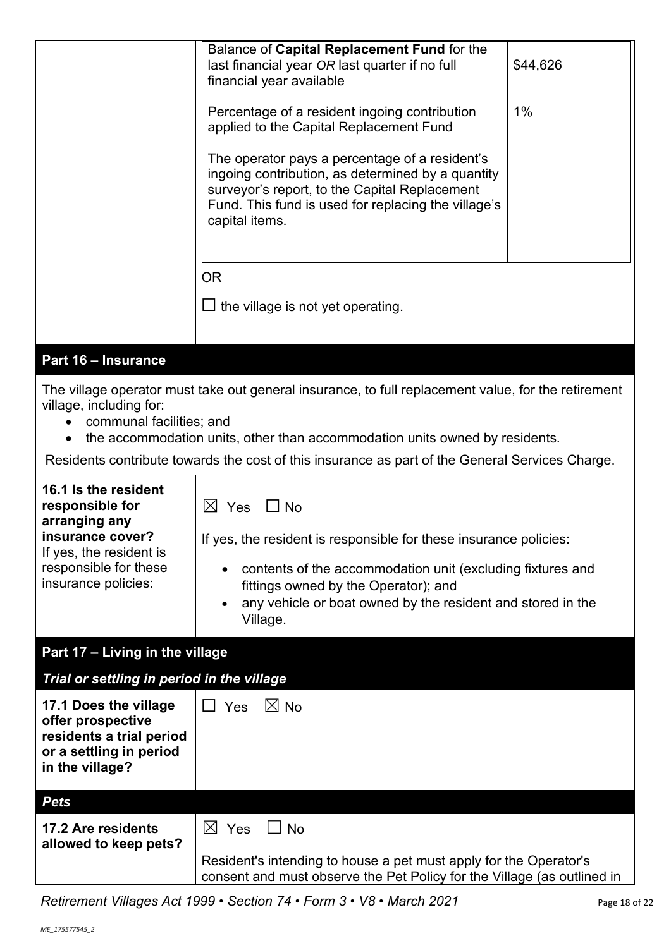|                                                                                                                                                                                                                                                        | Balance of Capital Replacement Fund for the<br>last financial year OR last quarter if no full<br>financial year available                                                                                                     | \$44,626 |
|--------------------------------------------------------------------------------------------------------------------------------------------------------------------------------------------------------------------------------------------------------|-------------------------------------------------------------------------------------------------------------------------------------------------------------------------------------------------------------------------------|----------|
|                                                                                                                                                                                                                                                        | Percentage of a resident ingoing contribution<br>applied to the Capital Replacement Fund                                                                                                                                      | $1\%$    |
|                                                                                                                                                                                                                                                        | The operator pays a percentage of a resident's<br>ingoing contribution, as determined by a quantity<br>surveyor's report, to the Capital Replacement<br>Fund. This fund is used for replacing the village's<br>capital items. |          |
|                                                                                                                                                                                                                                                        | <b>OR</b>                                                                                                                                                                                                                     |          |
|                                                                                                                                                                                                                                                        | the village is not yet operating.                                                                                                                                                                                             |          |
|                                                                                                                                                                                                                                                        |                                                                                                                                                                                                                               |          |
| Part 16 - Insurance                                                                                                                                                                                                                                    |                                                                                                                                                                                                                               |          |
| The village operator must take out general insurance, to full replacement value, for the retirement<br>village, including for:<br>communal facilities; and<br>the accommodation units, other than accommodation units owned by residents.<br>$\bullet$ |                                                                                                                                                                                                                               |          |
| Residents contribute towards the cost of this insurance as part of the General Services Charge.                                                                                                                                                        |                                                                                                                                                                                                                               |          |
| 40 4 La Alan nanislandi                                                                                                                                                                                                                                |                                                                                                                                                                                                                               |          |

| 16.1 Is the resident<br>responsible for<br>arranging any<br>insurance cover?<br>If yes, the resident is<br>responsible for these<br>insurance policies: | $\bowtie$<br>Yes<br>$\Box$ No<br>If yes, the resident is responsible for these insurance policies:<br>contents of the accommodation unit (excluding fixtures and<br>fittings owned by the Operator); and<br>any vehicle or boat owned by the resident and stored in the<br>Village. |
|---------------------------------------------------------------------------------------------------------------------------------------------------------|-------------------------------------------------------------------------------------------------------------------------------------------------------------------------------------------------------------------------------------------------------------------------------------|
| Part 17 - Living in the village                                                                                                                         |                                                                                                                                                                                                                                                                                     |
| Trial or settling in period in the village                                                                                                              |                                                                                                                                                                                                                                                                                     |
| 17.1 Does the village<br>offer prospective<br>residents a trial period<br>or a settling in period<br>in the village?                                    | $\Box$ Yes<br>$\boxtimes$ No                                                                                                                                                                                                                                                        |
| <b>Pets</b>                                                                                                                                             |                                                                                                                                                                                                                                                                                     |
| 17.2 Are residents<br>allowed to keep pets?                                                                                                             | $\boxtimes$<br>Yes<br><b>No</b><br>Resident's intending to house a pet must apply for the Operator's<br>$\mathbf{r}$ and $\mathbf{r}$ and $\mathbf{r}$ and $\mathbf{r}$ and $\mathbf{r}$ and $\mathbf{r}$ and $\mathbf{r}$                                                          |

consent and must observe the Pet Policy for the Village (as outlined in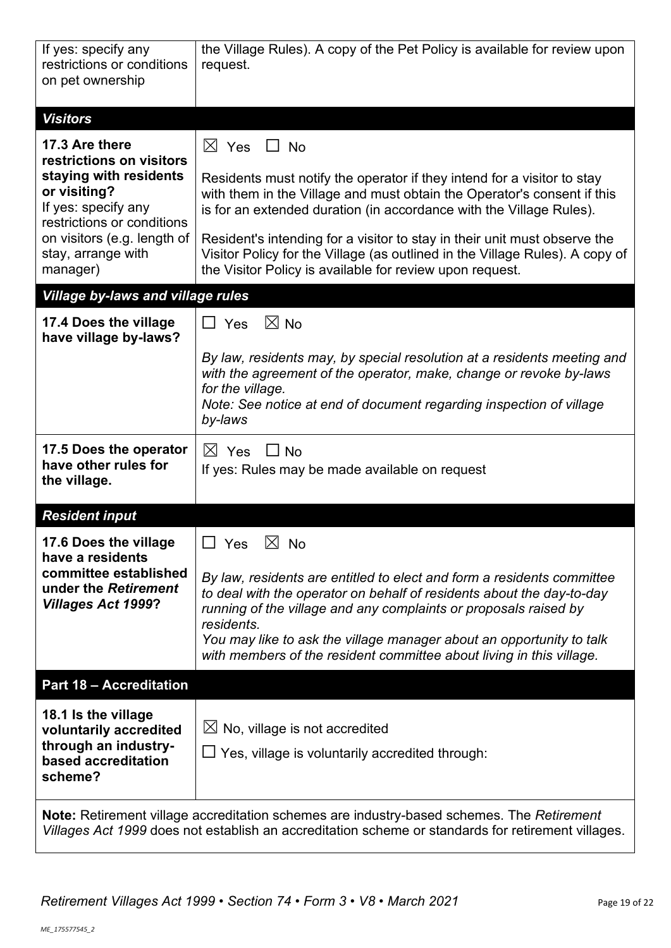| If yes: specify any<br>restrictions or conditions<br>on pet ownership                                                                                                                                      | the Village Rules). A copy of the Pet Policy is available for review upon<br>request.                                                                                                                                                                                                                                                                                                                                                                                           |  |
|------------------------------------------------------------------------------------------------------------------------------------------------------------------------------------------------------------|---------------------------------------------------------------------------------------------------------------------------------------------------------------------------------------------------------------------------------------------------------------------------------------------------------------------------------------------------------------------------------------------------------------------------------------------------------------------------------|--|
| <b>Visitors</b>                                                                                                                                                                                            |                                                                                                                                                                                                                                                                                                                                                                                                                                                                                 |  |
| 17.3 Are there<br>restrictions on visitors<br>staying with residents<br>or visiting?<br>If yes: specify any<br>restrictions or conditions<br>on visitors (e.g. length of<br>stay, arrange with<br>manager) | $\boxtimes$ Yes $\Box$ No<br>Residents must notify the operator if they intend for a visitor to stay<br>with them in the Village and must obtain the Operator's consent if this<br>is for an extended duration (in accordance with the Village Rules).<br>Resident's intending for a visitor to stay in their unit must observe the<br>Visitor Policy for the Village (as outlined in the Village Rules). A copy of<br>the Visitor Policy is available for review upon request. |  |
| <b>Village by-laws and village rules</b>                                                                                                                                                                   |                                                                                                                                                                                                                                                                                                                                                                                                                                                                                 |  |
| 17.4 Does the village<br>have village by-laws?                                                                                                                                                             | $\boxtimes$ No<br>Yes<br>$\Box$<br>By law, residents may, by special resolution at a residents meeting and<br>with the agreement of the operator, make, change or revoke by-laws<br>for the village.<br>Note: See notice at end of document regarding inspection of village<br>by-laws                                                                                                                                                                                          |  |
| 17.5 Does the operator<br>have other rules for<br>the village.                                                                                                                                             | $\boxtimes$ Yes<br>$\Box$ No<br>If yes: Rules may be made available on request                                                                                                                                                                                                                                                                                                                                                                                                  |  |
| <b>Resident input</b>                                                                                                                                                                                      |                                                                                                                                                                                                                                                                                                                                                                                                                                                                                 |  |
| 17.6 Does the village<br>have a residents<br>committee established<br>under the Retirement<br><b>Villages Act 1999?</b>                                                                                    | $\Box$ Yes $\boxtimes$ No<br>By law, residents are entitled to elect and form a residents committee<br>to deal with the operator on behalf of residents about the day-to-day<br>running of the village and any complaints or proposals raised by<br>residents.<br>You may like to ask the village manager about an opportunity to talk<br>with members of the resident committee about living in this village.                                                                  |  |
| <b>Part 18 - Accreditation</b>                                                                                                                                                                             |                                                                                                                                                                                                                                                                                                                                                                                                                                                                                 |  |
| 18.1 Is the village<br>voluntarily accredited<br>through an industry-<br>based accreditation<br>scheme?                                                                                                    | $\boxtimes$ No, village is not accredited<br>□ Yes, village is voluntarily accredited through:                                                                                                                                                                                                                                                                                                                                                                                  |  |
| Note: Retirement village accreditation schemes are industry-based schemes. The Retirement<br>Villages Act 1999 does not establish an accreditation scheme or standards for retirement villages.            |                                                                                                                                                                                                                                                                                                                                                                                                                                                                                 |  |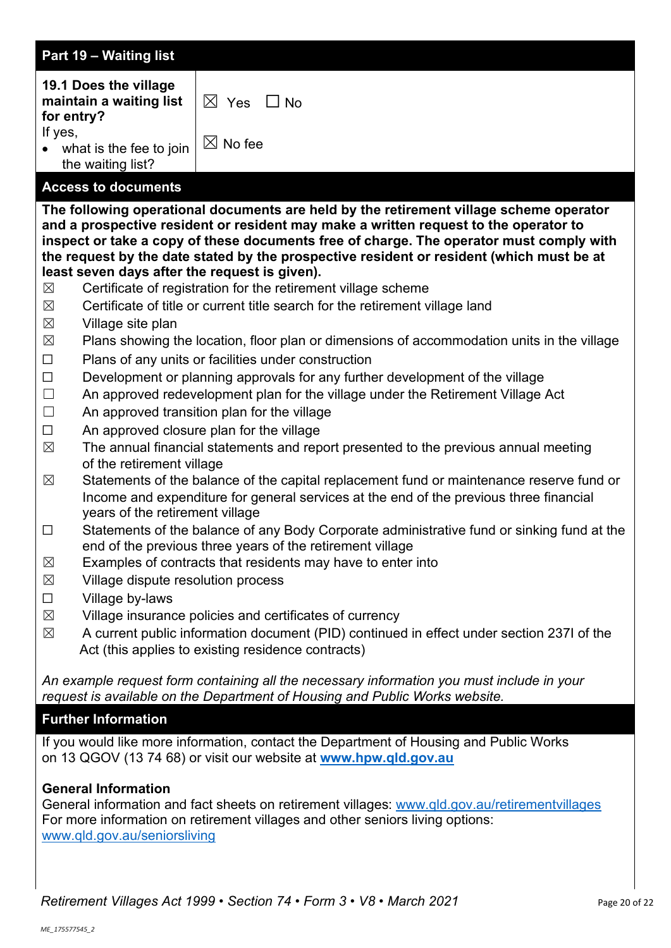|                                                                                                                                                              | Part 19 - Waiting list                                                                                                |                                                                                                                                                                                                                                                                                                                                                                                                                                                                                                                                                                                                                                                                                                                                                                                                                                                                                                                                                                                                                                        |
|--------------------------------------------------------------------------------------------------------------------------------------------------------------|-----------------------------------------------------------------------------------------------------------------------|----------------------------------------------------------------------------------------------------------------------------------------------------------------------------------------------------------------------------------------------------------------------------------------------------------------------------------------------------------------------------------------------------------------------------------------------------------------------------------------------------------------------------------------------------------------------------------------------------------------------------------------------------------------------------------------------------------------------------------------------------------------------------------------------------------------------------------------------------------------------------------------------------------------------------------------------------------------------------------------------------------------------------------------|
| for entry?<br>If yes,                                                                                                                                        | 19.1 Does the village<br>maintain a waiting list<br>• what is the fee to join<br>the waiting list?                    | $\boxtimes$ Yes<br>$\Box$ No<br>$\boxtimes$ No fee                                                                                                                                                                                                                                                                                                                                                                                                                                                                                                                                                                                                                                                                                                                                                                                                                                                                                                                                                                                     |
|                                                                                                                                                              | <b>Access to documents</b>                                                                                            |                                                                                                                                                                                                                                                                                                                                                                                                                                                                                                                                                                                                                                                                                                                                                                                                                                                                                                                                                                                                                                        |
| $\boxtimes$<br>$\boxtimes$<br>$\boxtimes$                                                                                                                    | Village site plan                                                                                                     | The following operational documents are held by the retirement village scheme operator<br>and a prospective resident or resident may make a written request to the operator to<br>inspect or take a copy of these documents free of charge. The operator must comply with<br>the request by the date stated by the prospective resident or resident (which must be at<br>least seven days after the request is given).<br>Certificate of registration for the retirement village scheme<br>Certificate of title or current title search for the retirement village land                                                                                                                                                                                                                                                                                                                                                                                                                                                                |
| $\boxtimes$                                                                                                                                                  |                                                                                                                       | Plans showing the location, floor plan or dimensions of accommodation units in the village                                                                                                                                                                                                                                                                                                                                                                                                                                                                                                                                                                                                                                                                                                                                                                                                                                                                                                                                             |
| $\Box$<br>$\Box$<br>$\Box$<br>$\Box$<br>$\Box$<br>$\boxtimes$<br>$\boxtimes$<br>$\Box$<br>$\boxtimes$<br>$\boxtimes$<br>$\Box$<br>$\boxtimes$<br>$\boxtimes$ | of the retirement village<br>years of the retirement village<br>Village dispute resolution process<br>Village by-laws | Plans of any units or facilities under construction<br>Development or planning approvals for any further development of the village<br>An approved redevelopment plan for the village under the Retirement Village Act<br>An approved transition plan for the village<br>An approved closure plan for the village<br>The annual financial statements and report presented to the previous annual meeting<br>Statements of the balance of the capital replacement fund or maintenance reserve fund or<br>Income and expenditure for general services at the end of the previous three financial<br>Statements of the balance of any Body Corporate administrative fund or sinking fund at the<br>end of the previous three years of the retirement village<br>Examples of contracts that residents may have to enter into<br>Village insurance policies and certificates of currency<br>A current public information document (PID) continued in effect under section 237I of the<br>Act (this applies to existing residence contracts) |
|                                                                                                                                                              |                                                                                                                       | An example request form containing all the necessary information you must include in your<br>request is available on the Department of Housing and Public Works website.                                                                                                                                                                                                                                                                                                                                                                                                                                                                                                                                                                                                                                                                                                                                                                                                                                                               |
|                                                                                                                                                              | <b>Further Information</b>                                                                                            |                                                                                                                                                                                                                                                                                                                                                                                                                                                                                                                                                                                                                                                                                                                                                                                                                                                                                                                                                                                                                                        |
|                                                                                                                                                              |                                                                                                                       | If you would like more information, contact the Department of Housing and Public Works<br>on 13 QGOV (13 74 68) or visit our website at www.hpw.qld.gov.au                                                                                                                                                                                                                                                                                                                                                                                                                                                                                                                                                                                                                                                                                                                                                                                                                                                                             |

# **General Information**

General information and fact sheets on retirement villages: [www.qld.gov.au/retirementvillages](http://www.qld.gov.au/retirementvillages) For more information on retirement villages and other seniors living options: [www.qld.gov.au/seniorsliving](http://www.qld.gov.au/seniorsliving)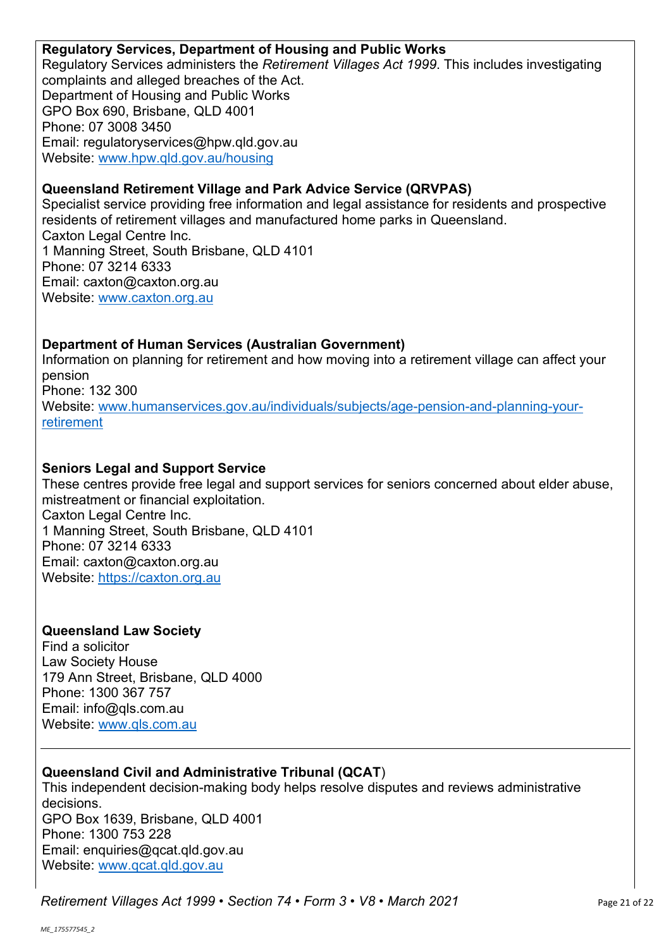#### **Regulatory Services, Department of Housing and Public Works**

Regulatory Services administers the *Retirement Villages Act 1999*. This includes investigating complaints and alleged breaches of the Act. Department of Housing and Public Works GPO Box 690, Brisbane, QLD 4001 Phone: 07 3008 3450 Email: regulatoryservices@hpw.qld.gov.au Website: [www.hpw.qld.gov.au/housing](http://www.hpw.qld.gov.au/housing)

# **Queensland Retirement Village and Park Advice Service (QRVPAS)**

Specialist service providing free information and legal assistance for residents and prospective residents of retirement villages and manufactured home parks in Queensland. Caxton Legal Centre Inc. 1 Manning Street, South Brisbane, QLD 4101 Phone: 07 3214 6333 Email: caxton@caxton.org.au Website: [www.caxton.org.au](http://www.caxton.org.au/)

# **Department of Human Services (Australian Government)**

Information on planning for retirement and how moving into a retirement village can affect your pension Phone: 132 300 Website: www.humanservices.gov.au/individuals/subjects/age-pension-and-planning-yourretirement

# **Seniors Legal and Support Service**

These centres provide free legal and support services for seniors concerned about elder abuse, mistreatment or financial exploitation. Caxton Legal Centre Inc. 1 Manning Street, South Brisbane, QLD 4101 Phone: 07 3214 6333 Email: caxton@caxton.org.au Website: [https://caxton.org.au](https://caxton.org.au/)

# **Queensland Law Society**

Find a solicitor Law Society House 179 Ann Street, Brisbane, QLD 4000 Phone: 1300 367 757 Email: info@qls.com.au Website: [www.qls.com.au](http://www.qls.com.au/)

# **Queensland Civil and Administrative Tribunal (QCAT**)

This independent decision-making body helps resolve disputes and reviews administrative decisions. GPO Box 1639, Brisbane, QLD 4001 Phone: 1300 753 228 Email: enquiries@qcat.qld.gov.au Website: [www.qcat.qld.gov.au](http://www.qcat.qld.gov.au/)

*Retirement Villages Act 1999* • *Section 74* • *Form 3* • *V8 • March 2021* Page 21 of 22